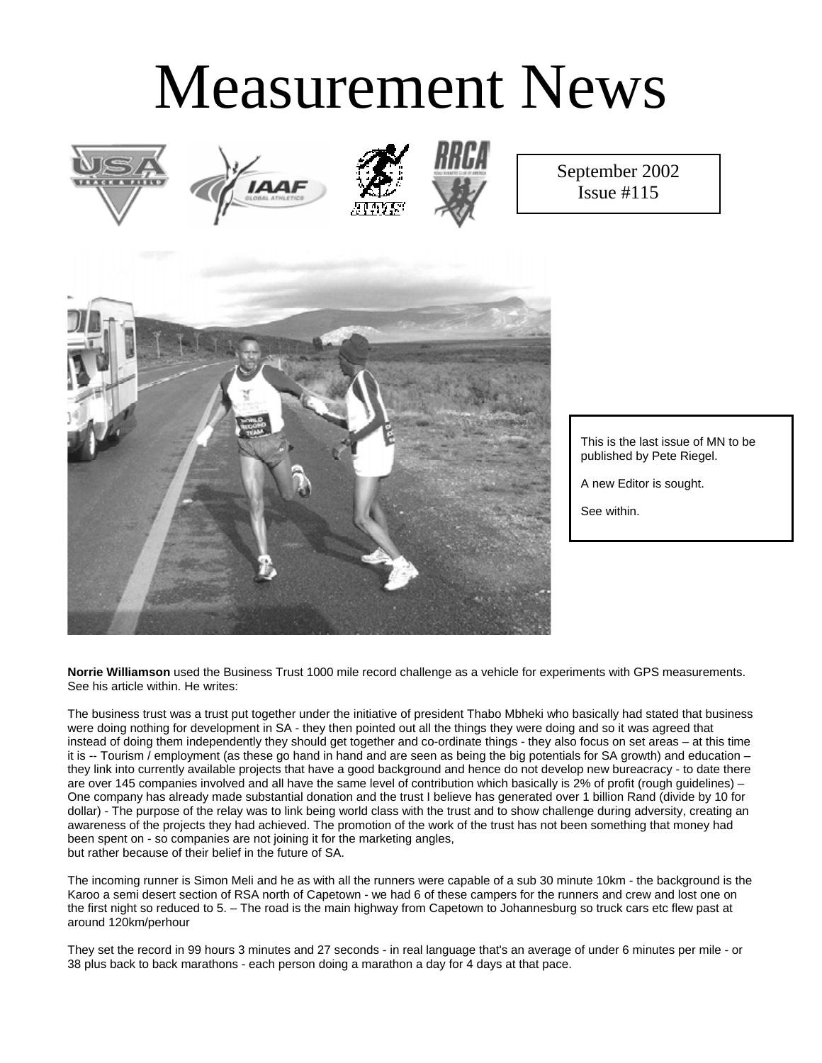# Measurement News







September 2002 Issue #115



This is the last issue of MN to be published by Pete Riegel.

A new Editor is sought.

See within.

**Norrie Williamson** used the Business Trust 1000 mile record challenge as a vehicle for experiments with GPS measurements. See his article within. He writes:

The business trust was a trust put together under the initiative of president Thabo Mbheki who basically had stated that business were doing nothing for development in SA - they then pointed out all the things they were doing and so it was agreed that instead of doing them independently they should get together and co-ordinate things - they also focus on set areas – at this time it is -- Tourism / employment (as these go hand in hand and are seen as being the big potentials for SA growth) and education – they link into currently available projects that have a good background and hence do not develop new bureacracy - to date there are over 145 companies involved and all have the same level of contribution which basically is 2% of profit (rough guidelines) – One company has already made substantial donation and the trust I believe has generated over 1 billion Rand (divide by 10 for dollar) - The purpose of the relay was to link being world class with the trust and to show challenge during adversity, creating an awareness of the projects they had achieved. The promotion of the work of the trust has not been something that money had been spent on - so companies are not joining it for the marketing angles, but rather because of their belief in the future of SA.

The incoming runner is Simon Meli and he as with all the runners were capable of a sub 30 minute 10km - the background is the Karoo a semi desert section of RSA north of Capetown - we had 6 of these campers for the runners and crew and lost one on the first night so reduced to 5. – The road is the main highway from Capetown to Johannesburg so truck cars etc flew past at around 120km/perhour

They set the record in 99 hours 3 minutes and 27 seconds - in real language that's an average of under 6 minutes per mile - or 38 plus back to back marathons - each person doing a marathon a day for 4 days at that pace.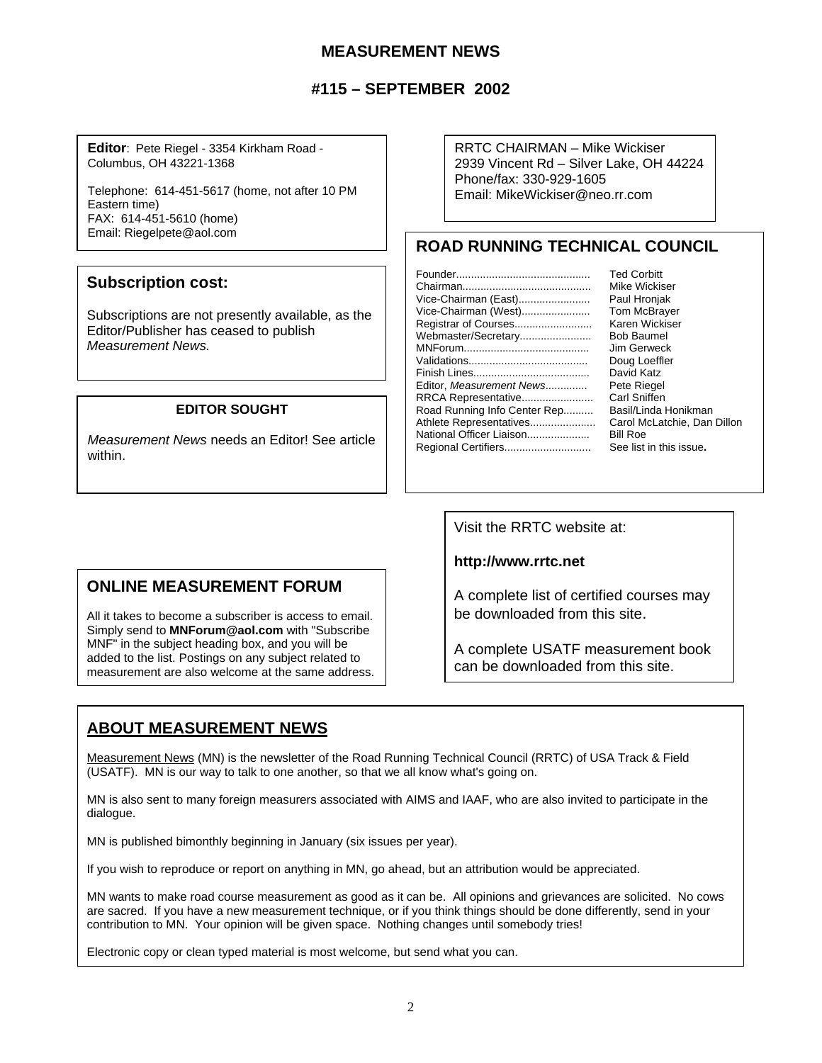#### **MEASUREMENT NEWS**

# **#115 – SEPTEMBER 2002**

**Editor**: Pete Riegel - 3354 Kirkham Road - Columbus, OH 43221-1368

Telephone: 614-451-5617 (home, not after 10 PM Eastern time) FAX: 614-451-5610 (home) Email: Riegelpete@aol.com

#### **Subscription cost:**

Subscriptions are not presently available, as the Editor/Publisher has ceased to publish *Measurement News.*

#### **EDITOR SOUGHT**

*Measurement News* needs an Editor! See article within.

# **ONLINE MEASUREMENT FORUM**

All it takes to become a subscriber is access to email. Simply send to **MNForum@aol.com** with "Subscribe MNF" in the subject heading box, and you will be added to the list. Postings on any subject related to measurement are also welcome at the same address. RRTC CHAIRMAN – Mike Wickiser 2939 Vincent Rd – Silver Lake, OH 44224 Phone/fax: 330-929-1605 Email: MikeWickiser@neo.rr.com

# **ROAD RUNNING TECHNICAL COUNCIL**

|                              | <b>Ted Corbitt</b>          |
|------------------------------|-----------------------------|
|                              | Mike Wickiser               |
| Vice-Chairman (East)         | Paul Hronjak                |
| Vice-Chairman (West)         | <b>Tom McBrayer</b>         |
| Registrar of Courses         | Karen Wickiser              |
| Webmaster/Secretary          | <b>Bob Baumel</b>           |
|                              | Jim Gerweck                 |
|                              | Doug Loeffler               |
|                              | David Katz                  |
| Editor, Measurement News     | Pete Riegel                 |
| RRCA Representative          | Carl Sniffen                |
| Road Running Info Center Rep | Basil/Linda Honikman        |
| Athlete Representatives      | Carol McLatchie, Dan Dillon |
| National Officer Liaison     | <b>Bill Roe</b>             |
| Regional Certifiers          | See list in this issue.     |
|                              |                             |

Visit the RRTC website at:

**http://www.rrtc.net**

A complete list of certified courses may be downloaded from this site.

A complete USATF measurement book can be downloaded from this site.

# **ABOUT MEASUREMENT NEWS**

Measurement News (MN) is the newsletter of the Road Running Technical Council (RRTC) of USA Track & Field (USATF). MN is our way to talk to one another, so that we all know what's going on.

MN is also sent to many foreign measurers associated with AIMS and IAAF, who are also invited to participate in the dialogue.

MN is published bimonthly beginning in January (six issues per year).

If you wish to reproduce or report on anything in MN, go ahead, but an attribution would be appreciated.

MN wants to make road course measurement as good as it can be. All opinions and grievances are solicited. No cows are sacred. If you have a new measurement technique, or if you think things should be done differently, send in your contribution to MN. Your opinion will be given space. Nothing changes until somebody tries!

Electronic copy or clean typed material is most welcome, but send what you can.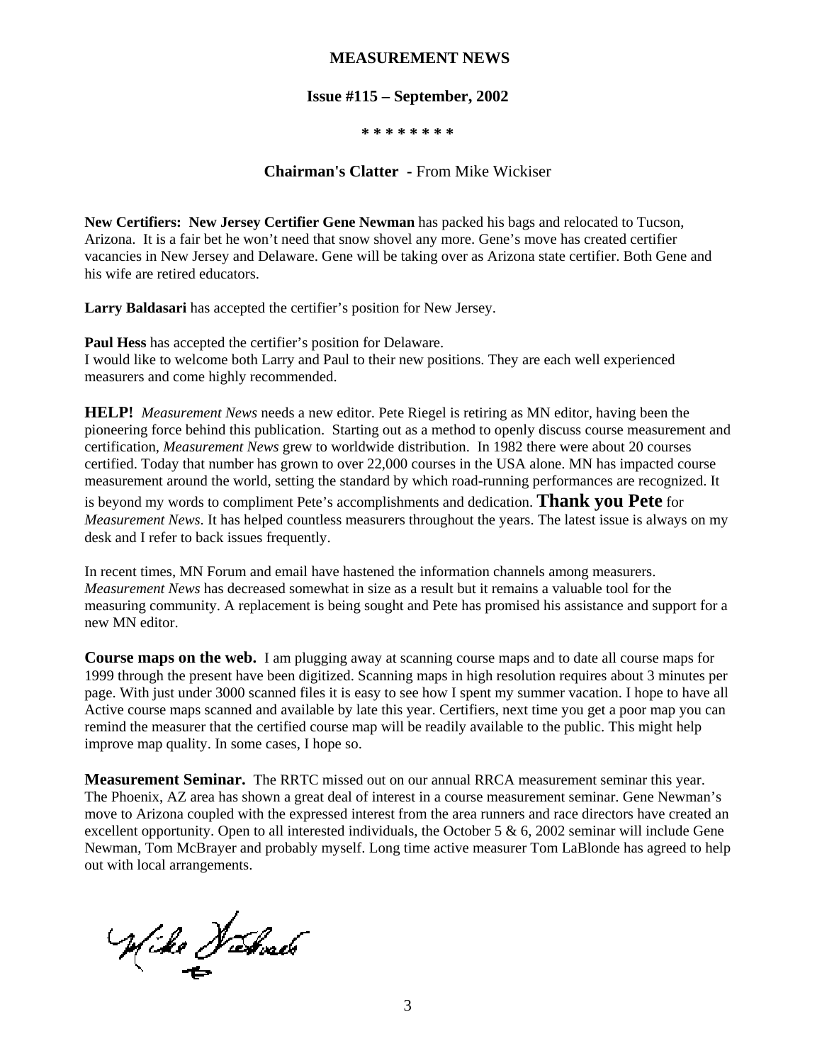#### **MEASUREMENT NEWS**

#### **Issue #115 – September, 2002**

#### **\* \* \* \* \* \* \* \***

#### **Chairman's Clatter -** From Mike Wickiser

**New Certifiers: New Jersey Certifier Gene Newman** has packed his bags and relocated to Tucson, Arizona. It is a fair bet he won't need that snow shovel any more. Gene's move has created certifier vacancies in New Jersey and Delaware. Gene will be taking over as Arizona state certifier. Both Gene and his wife are retired educators.

**Larry Baldasari** has accepted the certifier's position for New Jersey.

**Paul Hess** has accepted the certifier's position for Delaware. I would like to welcome both Larry and Paul to their new positions. They are each well experienced measurers and come highly recommended.

**HELP!** *Measurement News* needs a new editor. Pete Riegel is retiring as MN editor, having been the pioneering force behind this publication. Starting out as a method to openly discuss course measurement and certification, *Measurement News* grew to worldwide distribution. In 1982 there were about 20 courses certified. Today that number has grown to over 22,000 courses in the USA alone. MN has impacted course measurement around the world, setting the standard by which road-running performances are recognized. It

is beyond my words to compliment Pete's accomplishments and dedication. **Thank you Pete** for *Measurement News*. It has helped countless measurers throughout the years. The latest issue is always on my desk and I refer to back issues frequently.

In recent times, MN Forum and email have hastened the information channels among measurers. *Measurement News* has decreased somewhat in size as a result but it remains a valuable tool for the measuring community. A replacement is being sought and Pete has promised his assistance and support for a new MN editor.

**Course maps on the web.** I am plugging away at scanning course maps and to date all course maps for 1999 through the present have been digitized. Scanning maps in high resolution requires about 3 minutes per page. With just under 3000 scanned files it is easy to see how I spent my summer vacation. I hope to have all Active course maps scanned and available by late this year. Certifiers, next time you get a poor map you can remind the measurer that the certified course map will be readily available to the public. This might help improve map quality. In some cases, I hope so.

**Measurement Seminar.** The RRTC missed out on our annual RRCA measurement seminar this year. The Phoenix, AZ area has shown a great deal of interest in a course measurement seminar. Gene Newman's move to Arizona coupled with the expressed interest from the area runners and race directors have created an excellent opportunity. Open to all interested individuals, the October 5  $\&$  6, 2002 seminar will include Gene Newman, Tom McBrayer and probably myself. Long time active measurer Tom LaBlonde has agreed to help out with local arrangements.

Wike Habrach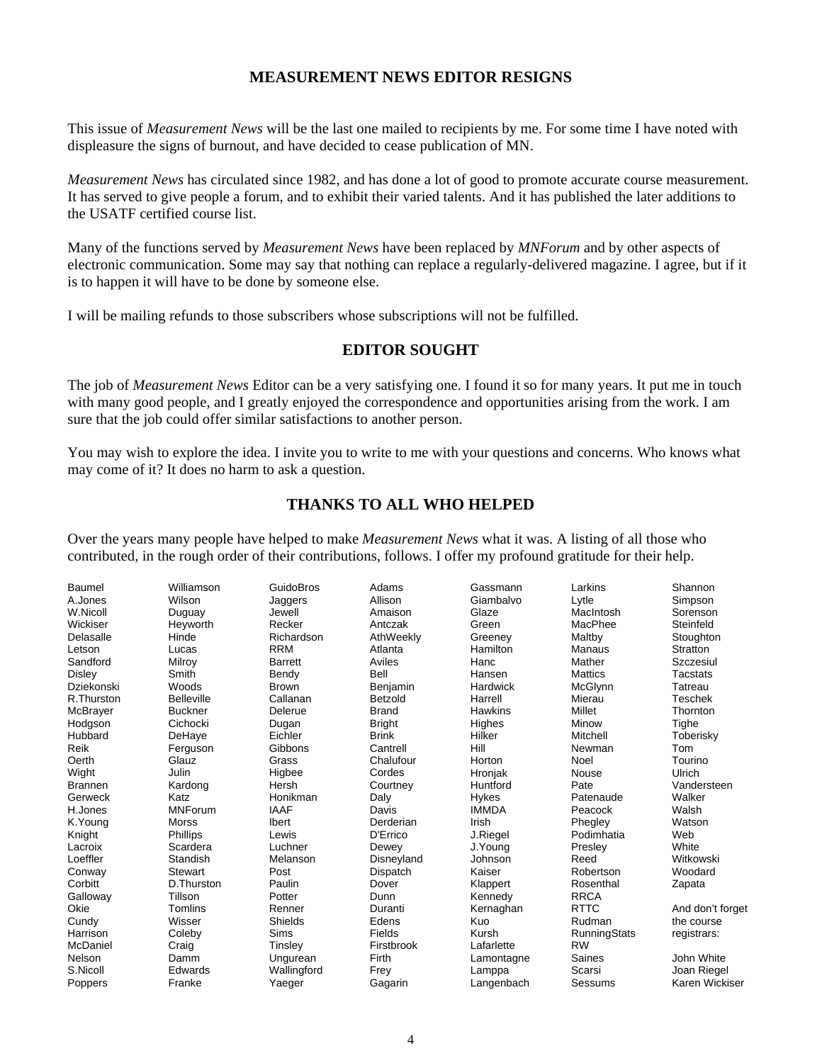#### **MEASUREMENT NEWS EDITOR RESIGNS**

This issue of *Measurement News* will be the last one mailed to recipients by me. For some time I have noted with displeasure the signs of burnout, and have decided to cease publication of MN.

*Measurement News* has circulated since 1982, and has done a lot of good to promote accurate course measurement. It has served to give people a forum, and to exhibit their varied talents. And it has published the later additions to the USATF certified course list.

Many of the functions served by *Measurement News* have been replaced by *MNForum* and by other aspects of electronic communication. Some may say that nothing can replace a regularly-delivered magazine. I agree, but if it is to happen it will have to be done by someone else.

I will be mailing refunds to those subscribers whose subscriptions will not be fulfilled.

#### **EDITOR SOUGHT**

The job of *Measurement News* Editor can be a very satisfying one. I found it so for many years. It put me in touch with many good people, and I greatly enjoyed the correspondence and opportunities arising from the work. I am sure that the job could offer similar satisfactions to another person.

You may wish to explore the idea. I invite you to write to me with your questions and concerns. Who knows what may come of it? It does no harm to ask a question.

#### **THANKS TO ALL WHO HELPED**

Over the years many people have helped to make *Measurement News* what it was. A listing of all those who contributed, in the rough order of their contributions, follows. I offer my profound gratitude for their help.

| <b>Baumel</b>  | Williamson        | GuidoBros      | Adams         | Gassmann     | Larkins             | Shannon          |
|----------------|-------------------|----------------|---------------|--------------|---------------------|------------------|
| A.Jones        | Wilson            | Jaggers        | Allison       | Giambalvo    | Lytle               | Simpson          |
| W.Nicoll       | Duguay            | Jewell         | Amaison       | Glaze        | MacIntosh           | Sorenson         |
| Wickiser       | Heyworth          | Recker         | Antczak       | Green        | MacPhee             | Steinfeld        |
| Delasalle      | Hinde             | Richardson     | AthWeekly     | Greeney      | Maltby              | Stoughton        |
| Letson         | Lucas             | <b>RRM</b>     | Atlanta       | Hamilton     | Manaus              | <b>Stratton</b>  |
| Sandford       | Milroy            | <b>Barrett</b> | Aviles        | Hanc         | Mather              | Szczesiul        |
| Disley         | Smith             | Bendy          | Bell          | Hansen       | <b>Mattics</b>      | <b>Tacstats</b>  |
| Dziekonski     | Woods             | <b>Brown</b>   | Benjamin      | Hardwick     | <b>McGlynn</b>      | Tatreau          |
| R.Thurston     | <b>Belleville</b> | Callanan       | Betzold       | Harrell      | Mierau              | Teschek          |
| McBrayer       | <b>Buckner</b>    | Delerue        | <b>Brand</b>  | Hawkins      | Millet              | Thornton         |
| Hodgson        | Cichocki          | Dugan          | <b>Bright</b> | Highes       | Minow               | Tighe            |
| Hubbard        | DeHaye            | Eichler        | <b>Brink</b>  | Hilker       | Mitchell            | Toberisky        |
| Reik           | Ferguson          | Gibbons        | Cantrell      | Hill         | Newman              | Tom              |
| Oerth          | Glauz             | Grass          | Chalufour     | Horton       | Noel                | Tourino          |
| Wight          | Julin             | Higbee         | Cordes        | Hronjak      | Nouse               | Ulrich           |
| <b>Brannen</b> | Kardong           | Hersh          | Courtney      | Huntford     | Pate                | Vandersteen      |
| Gerweck        | Katz              | Honikman       | Daly          | Hykes        | Patenaude           | Walker           |
| H.Jones        | <b>MNForum</b>    | <b>IAAF</b>    | Davis         | <b>IMMDA</b> | Peacock             | Walsh            |
| K.Young        | <b>Morss</b>      | <b>Ibert</b>   | Derderian     | Irish        | Phegley             | Watson           |
| Knight         | Phillips          | Lewis          | D'Errico      | J.Riegel     | Podimhatia          | Web              |
| Lacroix        | Scardera          | Luchner        | Dewey         | J.Young      | Presley             | White            |
| Loeffler       | Standish          | Melanson       | Disneyland    | Johnson      | Reed                | Witkowski        |
| Conway         | <b>Stewart</b>    | Post           | Dispatch      | Kaiser       | Robertson           | Woodard          |
| Corbitt        | D.Thurston        | Paulin         | Dover         | Klappert     | Rosenthal           | Zapata           |
| Galloway       | Tillson           | Potter         | Dunn          | Kennedy      | <b>RRCA</b>         |                  |
| Okie           | Tomlins           | Renner         | Duranti       | Kernaghan    | <b>RTTC</b>         | And don't forget |
| Cundy          | Wisser            | Shields        | Edens         | Kuo          | Rudman              | the course       |
| Harrison       | Coleby            | <b>Sims</b>    | Fields        | Kursh        | <b>RunningStats</b> | registrars:      |
| McDaniel       | Craig             | Tinsley        | Firstbrook    | Lafarlette   | <b>RW</b>           |                  |
| Nelson         | Damm              | Ungurean       | Firth         | Lamontagne   | Saines              | John White       |
| S.Nicoll       | Edwards           | Wallingford    | Frey          | Lamppa       | Scarsi              | Joan Riegel      |
| Poppers        | Franke            | Yaeger         | Gagarin       | Langenbach   | Sessums             | Karen Wickiser   |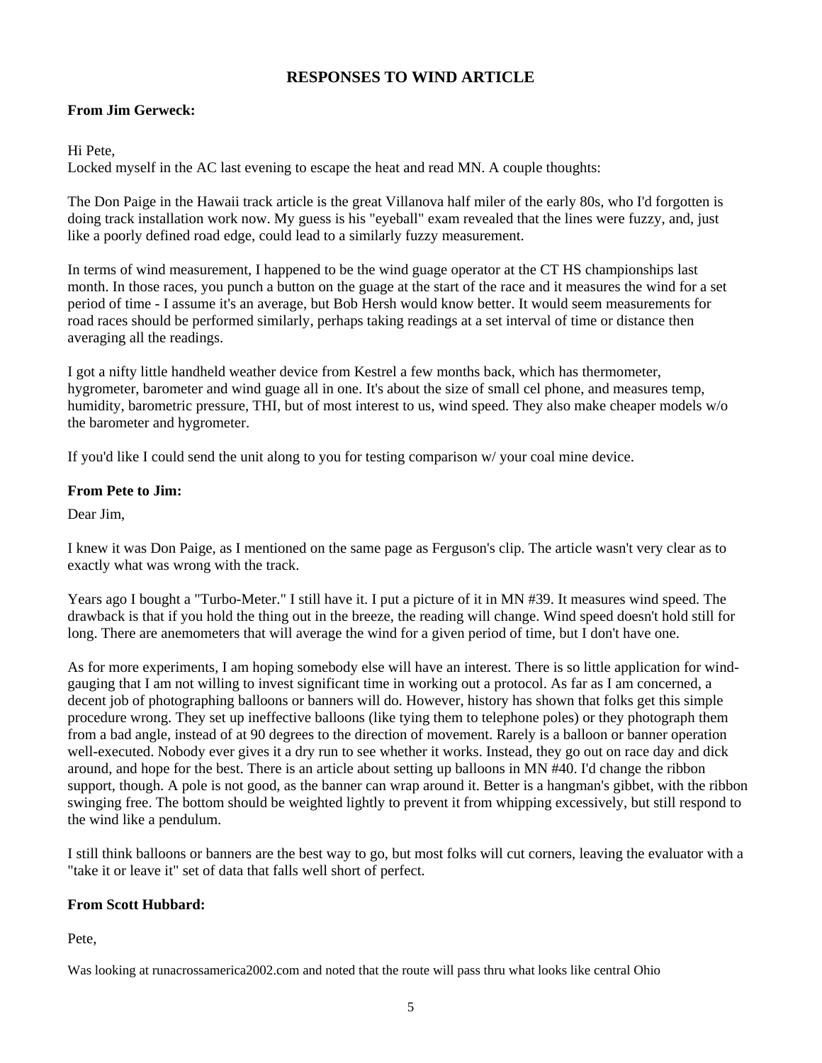### **RESPONSES TO WIND ARTICLE**

#### **From Jim Gerweck:**

Hi Pete,

Locked myself in the AC last evening to escape the heat and read MN. A couple thoughts:

The Don Paige in the Hawaii track article is the great Villanova half miler of the early 80s, who I'd forgotten is doing track installation work now. My guess is his "eyeball" exam revealed that the lines were fuzzy, and, just like a poorly defined road edge, could lead to a similarly fuzzy measurement.

In terms of wind measurement, I happened to be the wind guage operator at the CT HS championships last month. In those races, you punch a button on the guage at the start of the race and it measures the wind for a set period of time - I assume it's an average, but Bob Hersh would know better. It would seem measurements for road races should be performed similarly, perhaps taking readings at a set interval of time or distance then averaging all the readings.

I got a nifty little handheld weather device from Kestrel a few months back, which has thermometer, hygrometer, barometer and wind guage all in one. It's about the size of small cel phone, and measures temp, humidity, barometric pressure, THI, but of most interest to us, wind speed. They also make cheaper models w/o the barometer and hygrometer.

If you'd like I could send the unit along to you for testing comparison w/ your coal mine device.

#### **From Pete to Jim:**

Dear Jim,

I knew it was Don Paige, as I mentioned on the same page as Ferguson's clip. The article wasn't very clear as to exactly what was wrong with the track.

Years ago I bought a "Turbo-Meter." I still have it. I put a picture of it in MN #39. It measures wind speed. The drawback is that if you hold the thing out in the breeze, the reading will change. Wind speed doesn't hold still for long. There are anemometers that will average the wind for a given period of time, but I don't have one.

As for more experiments, I am hoping somebody else will have an interest. There is so little application for windgauging that I am not willing to invest significant time in working out a protocol. As far as I am concerned, a decent job of photographing balloons or banners will do. However, history has shown that folks get this simple procedure wrong. They set up ineffective balloons (like tying them to telephone poles) or they photograph them from a bad angle, instead of at 90 degrees to the direction of movement. Rarely is a balloon or banner operation well-executed. Nobody ever gives it a dry run to see whether it works. Instead, they go out on race day and dick around, and hope for the best. There is an article about setting up balloons in MN #40. I'd change the ribbon support, though. A pole is not good, as the banner can wrap around it. Better is a hangman's gibbet, with the ribbon swinging free. The bottom should be weighted lightly to prevent it from whipping excessively, but still respond to the wind like a pendulum.

I still think balloons or banners are the best way to go, but most folks will cut corners, leaving the evaluator with a "take it or leave it" set of data that falls well short of perfect.

#### **From Scott Hubbard:**

Pete,

Was looking at runacrossamerica2002.com and noted that the route will pass thru what looks like central Ohio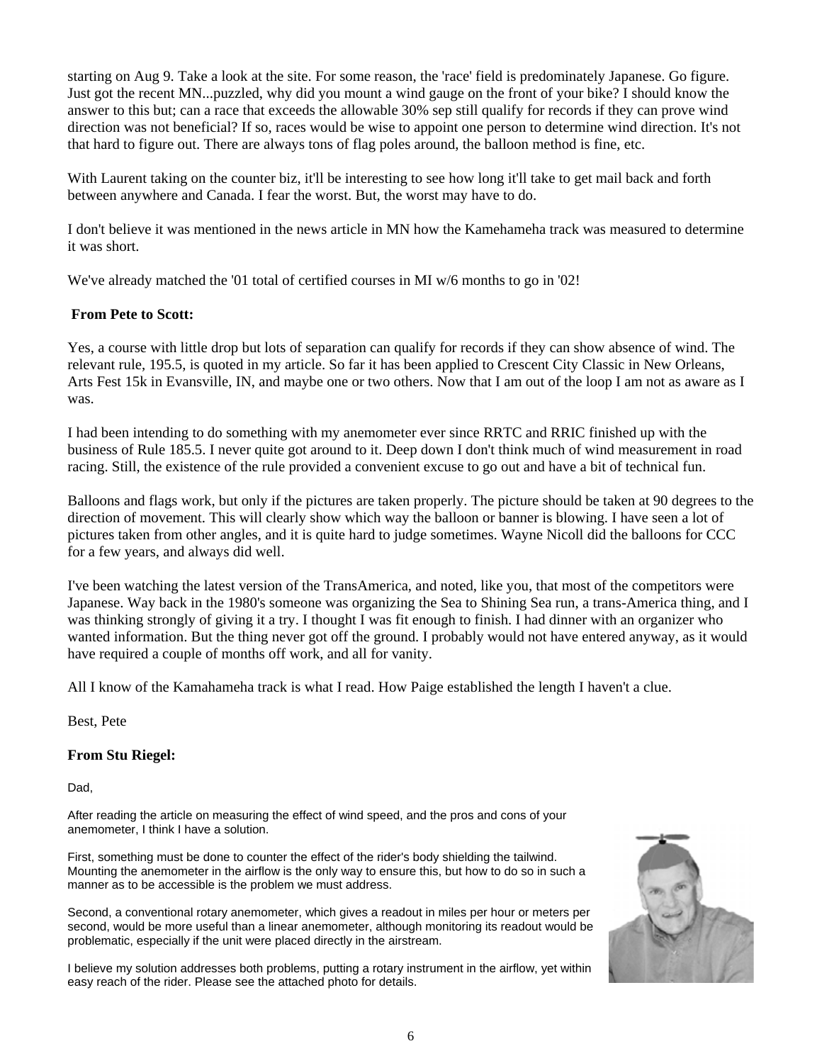starting on Aug 9. Take a look at the site. For some reason, the 'race' field is predominately Japanese. Go figure. Just got the recent MN...puzzled, why did you mount a wind gauge on the front of your bike? I should know the answer to this but; can a race that exceeds the allowable 30% sep still qualify for records if they can prove wind direction was not beneficial? If so, races would be wise to appoint one person to determine wind direction. It's not that hard to figure out. There are always tons of flag poles around, the balloon method is fine, etc.

With Laurent taking on the counter biz, it'll be interesting to see how long it'll take to get mail back and forth between anywhere and Canada. I fear the worst. But, the worst may have to do.

I don't believe it was mentioned in the news article in MN how the Kamehameha track was measured to determine it was short.

We've already matched the '01 total of certified courses in MI w/6 months to go in '02!

#### **From Pete to Scott:**

Yes, a course with little drop but lots of separation can qualify for records if they can show absence of wind. The relevant rule, 195.5, is quoted in my article. So far it has been applied to Crescent City Classic in New Orleans, Arts Fest 15k in Evansville, IN, and maybe one or two others. Now that I am out of the loop I am not as aware as I was.

I had been intending to do something with my anemometer ever since RRTC and RRIC finished up with the business of Rule 185.5. I never quite got around to it. Deep down I don't think much of wind measurement in road racing. Still, the existence of the rule provided a convenient excuse to go out and have a bit of technical fun.

Balloons and flags work, but only if the pictures are taken properly. The picture should be taken at 90 degrees to the direction of movement. This will clearly show which way the balloon or banner is blowing. I have seen a lot of pictures taken from other angles, and it is quite hard to judge sometimes. Wayne Nicoll did the balloons for CCC for a few years, and always did well.

I've been watching the latest version of the TransAmerica, and noted, like you, that most of the competitors were Japanese. Way back in the 1980's someone was organizing the Sea to Shining Sea run, a trans-America thing, and I was thinking strongly of giving it a try. I thought I was fit enough to finish. I had dinner with an organizer who wanted information. But the thing never got off the ground. I probably would not have entered anyway, as it would have required a couple of months off work, and all for vanity.

All I know of the Kamahameha track is what I read. How Paige established the length I haven't a clue.

Best, Pete

#### **From Stu Riegel:**

Dad,

After reading the article on measuring the effect of wind speed, and the pros and cons of your anemometer, I think I have a solution.

First, something must be done to counter the effect of the rider's body shielding the tailwind. Mounting the anemometer in the airflow is the only way to ensure this, but how to do so in such a manner as to be accessible is the problem we must address.

Second, a conventional rotary anemometer, which gives a readout in miles per hour or meters per second, would be more useful than a linear anemometer, although monitoring its readout would be problematic, especially if the unit were placed directly in the airstream.

I believe my solution addresses both problems, putting a rotary instrument in the airflow, yet within easy reach of the rider. Please see the attached photo for details.

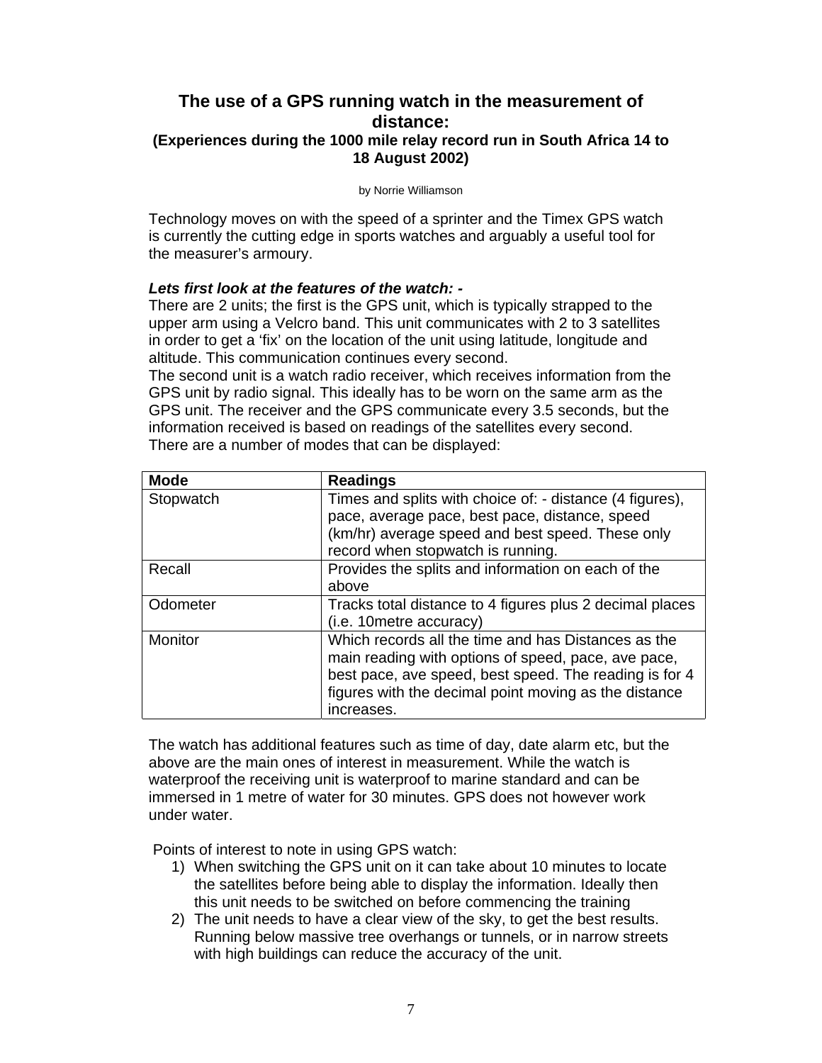## **The use of a GPS running watch in the measurement of distance: (Experiences during the 1000 mile relay record run in South Africa 14 to 18 August 2002)**

by Norrie Williamson

Technology moves on with the speed of a sprinter and the Timex GPS watch is currently the cutting edge in sports watches and arguably a useful tool for the measurer's armoury.

#### *Lets first look at the features of the watch: -*

There are 2 units; the first is the GPS unit, which is typically strapped to the upper arm using a Velcro band. This unit communicates with 2 to 3 satellites in order to get a 'fix' on the location of the unit using latitude, longitude and altitude. This communication continues every second.

The second unit is a watch radio receiver, which receives information from the GPS unit by radio signal. This ideally has to be worn on the same arm as the GPS unit. The receiver and the GPS communicate every 3.5 seconds, but the information received is based on readings of the satellites every second. There are a number of modes that can be displayed:

| <b>Mode</b> | <b>Readings</b>                                          |
|-------------|----------------------------------------------------------|
| Stopwatch   | Times and splits with choice of: - distance (4 figures), |
|             | pace, average pace, best pace, distance, speed           |
|             | (km/hr) average speed and best speed. These only         |
|             | record when stopwatch is running.                        |
| Recall      | Provides the splits and information on each of the       |
|             | above                                                    |
| Odometer    | Tracks total distance to 4 figures plus 2 decimal places |
|             | (i.e. 10 metre accuracy)                                 |
| Monitor     | Which records all the time and has Distances as the      |
|             | main reading with options of speed, pace, ave pace,      |
|             | best pace, ave speed, best speed. The reading is for 4   |
|             | figures with the decimal point moving as the distance    |
|             | increases.                                               |

The watch has additional features such as time of day, date alarm etc, but the above are the main ones of interest in measurement. While the watch is waterproof the receiving unit is waterproof to marine standard and can be immersed in 1 metre of water for 30 minutes. GPS does not however work under water.

Points of interest to note in using GPS watch:

- 1) When switching the GPS unit on it can take about 10 minutes to locate the satellites before being able to display the information. Ideally then this unit needs to be switched on before commencing the training
- 2) The unit needs to have a clear view of the sky, to get the best results. Running below massive tree overhangs or tunnels, or in narrow streets with high buildings can reduce the accuracy of the unit.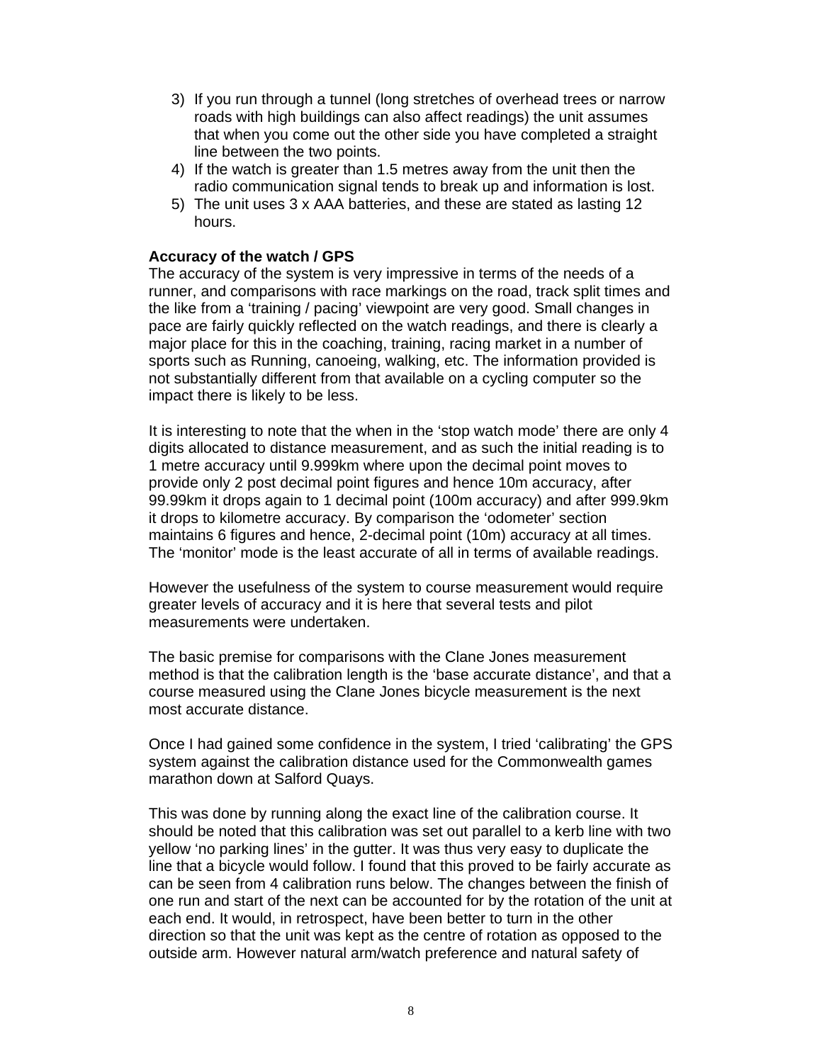- 3) If you run through a tunnel (long stretches of overhead trees or narrow roads with high buildings can also affect readings) the unit assumes that when you come out the other side you have completed a straight line between the two points.
- 4) If the watch is greater than 1.5 metres away from the unit then the radio communication signal tends to break up and information is lost.
- 5) The unit uses 3 x AAA batteries, and these are stated as lasting 12 hours.

#### **Accuracy of the watch / GPS**

The accuracy of the system is very impressive in terms of the needs of a runner, and comparisons with race markings on the road, track split times and the like from a 'training / pacing' viewpoint are very good. Small changes in pace are fairly quickly reflected on the watch readings, and there is clearly a major place for this in the coaching, training, racing market in a number of sports such as Running, canoeing, walking, etc. The information provided is not substantially different from that available on a cycling computer so the impact there is likely to be less.

It is interesting to note that the when in the 'stop watch mode' there are only 4 digits allocated to distance measurement, and as such the initial reading is to 1 metre accuracy until 9.999km where upon the decimal point moves to provide only 2 post decimal point figures and hence 10m accuracy, after 99.99km it drops again to 1 decimal point (100m accuracy) and after 999.9km it drops to kilometre accuracy. By comparison the 'odometer' section maintains 6 figures and hence, 2-decimal point (10m) accuracy at all times. The 'monitor' mode is the least accurate of all in terms of available readings.

However the usefulness of the system to course measurement would require greater levels of accuracy and it is here that several tests and pilot measurements were undertaken.

The basic premise for comparisons with the Clane Jones measurement method is that the calibration length is the 'base accurate distance', and that a course measured using the Clane Jones bicycle measurement is the next most accurate distance.

Once I had gained some confidence in the system, I tried 'calibrating' the GPS system against the calibration distance used for the Commonwealth games marathon down at Salford Quays.

This was done by running along the exact line of the calibration course. It should be noted that this calibration was set out parallel to a kerb line with two yellow 'no parking lines' in the gutter. It was thus very easy to duplicate the line that a bicycle would follow. I found that this proved to be fairly accurate as can be seen from 4 calibration runs below. The changes between the finish of one run and start of the next can be accounted for by the rotation of the unit at each end. It would, in retrospect, have been better to turn in the other direction so that the unit was kept as the centre of rotation as opposed to the outside arm. However natural arm/watch preference and natural safety of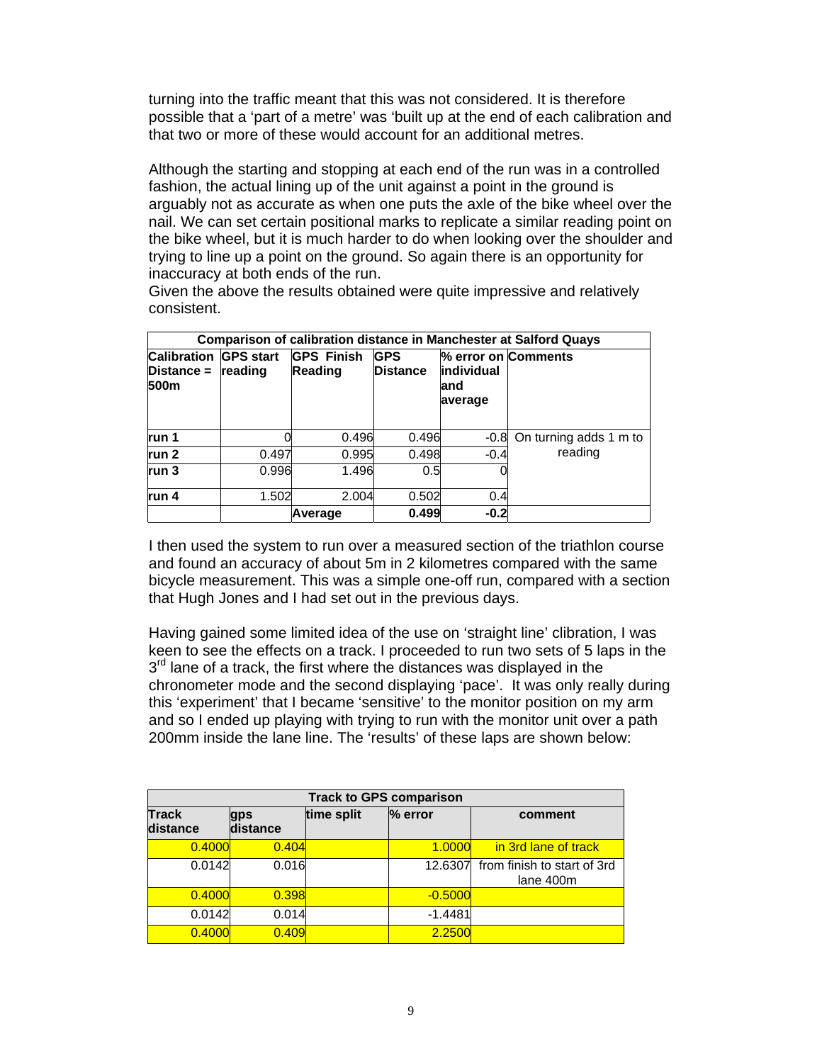turning into the traffic meant that this was not considered. It is therefore possible that a 'part of a metre' was 'built up at the end of each calibration and that two or more of these would account for an additional metres.

Although the starting and stopping at each end of the run was in a controlled fashion, the actual lining up of the unit against a point in the ground is arguably not as accurate as when one puts the axle of the bike wheel over the nail. We can set certain positional marks to replicate a similar reading point on the bike wheel, but it is much harder to do when looking over the shoulder and trying to line up a point on the ground. So again there is an opportunity for inaccuracy at both ends of the run.

Given the above the results obtained were quite impressive and relatively consistent.

|                                          |                             |                              |                               |                                                      | <b>Comparison of calibration distance in Manchester at Salford Quays</b> |
|------------------------------------------|-----------------------------|------------------------------|-------------------------------|------------------------------------------------------|--------------------------------------------------------------------------|
| <b>Calibration</b><br>Distance =<br>500m | <b>GPS start</b><br>reading | <b>GPS Finish</b><br>Reading | <b>GPS</b><br><b>Distance</b> | % error on Comments<br>individual<br>land<br>average |                                                                          |
| run 1                                    |                             | 0.496                        | 0.496                         | -0.8                                                 | On turning adds 1 m to                                                   |
| run 2                                    | 0.497                       | 0.995                        | 0.498                         | $-0.4$                                               | reading                                                                  |
| run 3                                    | 0.996                       | 1.496                        | 0.5                           |                                                      |                                                                          |
| run 4                                    | 1.502                       | 2.004                        | 0.502                         | 0.4                                                  |                                                                          |
|                                          |                             | Average                      | 0.499                         | $-0.2$                                               |                                                                          |

I then used the system to run over a measured section of the triathlon course and found an accuracy of about 5m in 2 kilometres compared with the same bicycle measurement. This was a simple one-off run, compared with a section that Hugh Jones and I had set out in the previous days.

Having gained some limited idea of the use on 'straight line' clibration, I was keen to see the effects on a track. I proceeded to run two sets of 5 laps in the  $3<sup>rd</sup>$  lane of a track, the first where the distances was displayed in the chronometer mode and the second displaying 'pace'. It was only really during this 'experiment' that I became 'sensitive' to the monitor position on my arm and so I ended up playing with trying to run with the monitor unit over a path 200mm inside the lane line. The 'results' of these laps are shown below:

|                   |                 | <b>Track to GPS comparison</b> |           |                                          |
|-------------------|-----------------|--------------------------------|-----------|------------------------------------------|
| Track<br>distance | gps<br>distance | time split                     | % error   | comment                                  |
| 0.4000            | 0.404           |                                | 1.0000    | in 3rd lane of track                     |
| 0.0142            | 0.016           |                                | 12.6307   | from finish to start of 3rd<br>lane 400m |
| 0.4000            | 0.398           |                                | $-0.5000$ |                                          |
| 0.0142            | 0.014           |                                | $-1.4481$ |                                          |
| 0.4000            | 0.409           |                                | 2.2500    |                                          |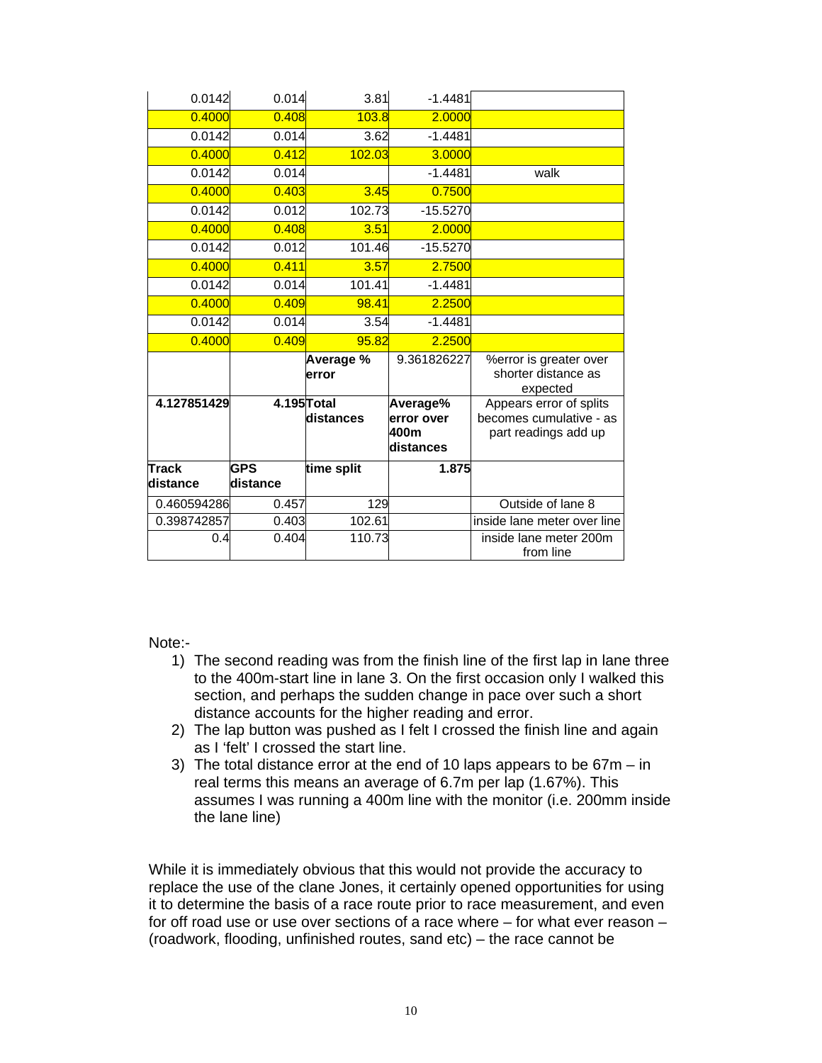| 0.0142       | 0.014       | 3.81               | $-1.4481$                                   |                                                                            |
|--------------|-------------|--------------------|---------------------------------------------|----------------------------------------------------------------------------|
| 0.4000       | 0.408       | 103.8              | 2.0000                                      |                                                                            |
| 0.0142       | 0.014       | 3.62               | $-1.4481$                                   |                                                                            |
| 0.4000       | 0.412       | 102.03             | 3.0000                                      |                                                                            |
| 0.0142       | 0.014       |                    | $-1.4481$                                   | walk                                                                       |
| 0.4000       | 0.403       | 3.45               | 0.7500                                      |                                                                            |
| 0.0142       | 0.012       | 102.73             | $-15.5270$                                  |                                                                            |
| 0.4000       | 0.408       | 3.51               | 2.0000                                      |                                                                            |
| 0.0142       | 0.012       | 101.46             | $-15.5270$                                  |                                                                            |
| 0.4000       | 0.411       | 3.57               | 2.7500                                      |                                                                            |
| 0.0142       | 0.014       | 101.41             | $-1.4481$                                   |                                                                            |
| 0.4000       | 0.409       | 98.41              | 2.2500                                      |                                                                            |
| 0.0142       | 0.014       | 3.54               | $-1.4481$                                   |                                                                            |
| 0.4000       | 0.409       | 95.82              | 2.2500                                      |                                                                            |
|              |             | Average %<br>error | 9.361826227                                 | %error is greater over<br>shorter distance as<br>expected                  |
| 4.127851429  | 4.195 Total | distances          | Average%<br>error over<br>400m<br>distances | Appears error of splits<br>becomes cumulative - as<br>part readings add up |
| <b>Track</b> | <b>GPS</b>  | time split         | 1.875                                       |                                                                            |
| distance     | distance    |                    |                                             |                                                                            |
| 0.460594286  | 0.457       | 129                |                                             | Outside of lane 8                                                          |
| 0.398742857  | 0.403       | 102.61             |                                             | inside lane meter over line                                                |
| 0.4          | 0.404       | 110.73             |                                             | inside lane meter 200m<br>from line                                        |

Note:-

- 1) The second reading was from the finish line of the first lap in lane three to the 400m-start line in lane 3. On the first occasion only I walked this section, and perhaps the sudden change in pace over such a short distance accounts for the higher reading and error.
- 2) The lap button was pushed as I felt I crossed the finish line and again as I 'felt' I crossed the start line.
- 3) The total distance error at the end of 10 laps appears to be 67m in real terms this means an average of 6.7m per lap (1.67%). This assumes I was running a 400m line with the monitor (i.e. 200mm inside the lane line)

While it is immediately obvious that this would not provide the accuracy to replace the use of the clane Jones, it certainly opened opportunities for using it to determine the basis of a race route prior to race measurement, and even for off road use or use over sections of a race where – for what ever reason – (roadwork, flooding, unfinished routes, sand etc) – the race cannot be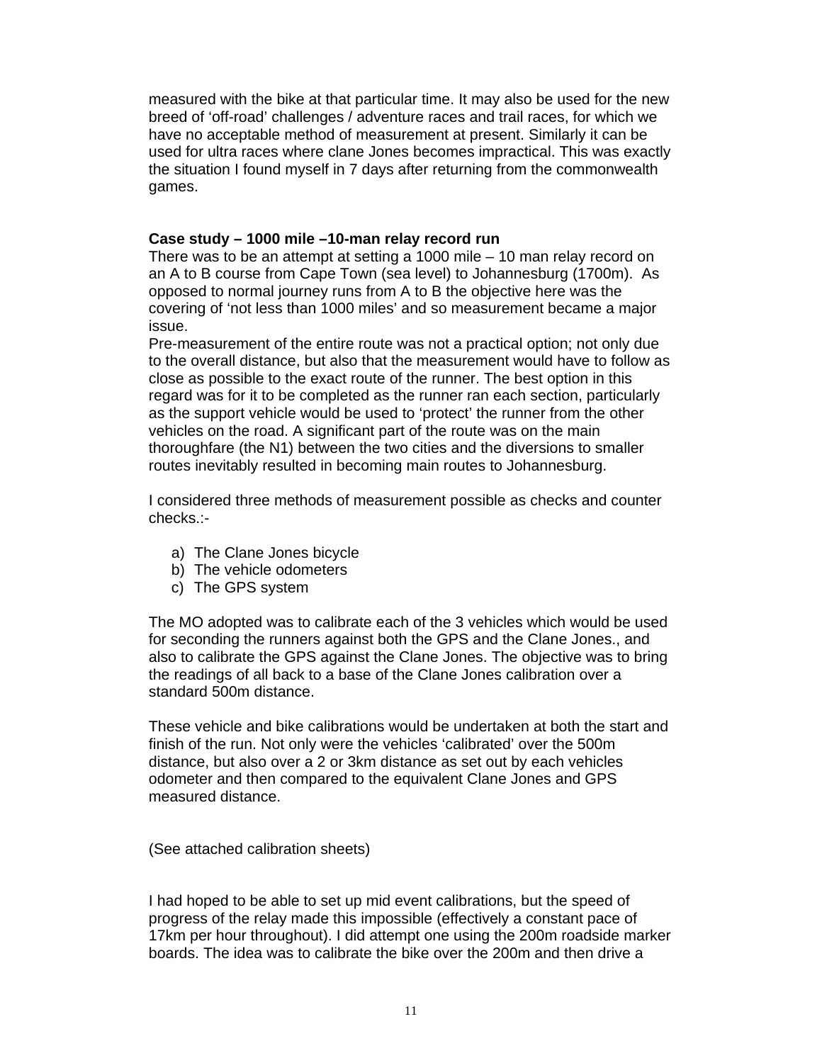measured with the bike at that particular time. It may also be used for the new breed of 'off-road' challenges / adventure races and trail races, for which we have no acceptable method of measurement at present. Similarly it can be used for ultra races where clane Jones becomes impractical. This was exactly the situation I found myself in 7 days after returning from the commonwealth games.

#### **Case study – 1000 mile –10-man relay record run**

There was to be an attempt at setting a 1000 mile – 10 man relay record on an A to B course from Cape Town (sea level) to Johannesburg (1700m). As opposed to normal journey runs from A to B the objective here was the covering of 'not less than 1000 miles' and so measurement became a major issue.

Pre-measurement of the entire route was not a practical option; not only due to the overall distance, but also that the measurement would have to follow as close as possible to the exact route of the runner. The best option in this regard was for it to be completed as the runner ran each section, particularly as the support vehicle would be used to 'protect' the runner from the other vehicles on the road. A significant part of the route was on the main thoroughfare (the N1) between the two cities and the diversions to smaller routes inevitably resulted in becoming main routes to Johannesburg.

I considered three methods of measurement possible as checks and counter checks.:-

- a) The Clane Jones bicycle
- b) The vehicle odometers
- c) The GPS system

The MO adopted was to calibrate each of the 3 vehicles which would be used for seconding the runners against both the GPS and the Clane Jones., and also to calibrate the GPS against the Clane Jones. The objective was to bring the readings of all back to a base of the Clane Jones calibration over a standard 500m distance.

These vehicle and bike calibrations would be undertaken at both the start and finish of the run. Not only were the vehicles 'calibrated' over the 500m distance, but also over a 2 or 3km distance as set out by each vehicles odometer and then compared to the equivalent Clane Jones and GPS measured distance.

(See attached calibration sheets)

I had hoped to be able to set up mid event calibrations, but the speed of progress of the relay made this impossible (effectively a constant pace of 17km per hour throughout). I did attempt one using the 200m roadside marker boards. The idea was to calibrate the bike over the 200m and then drive a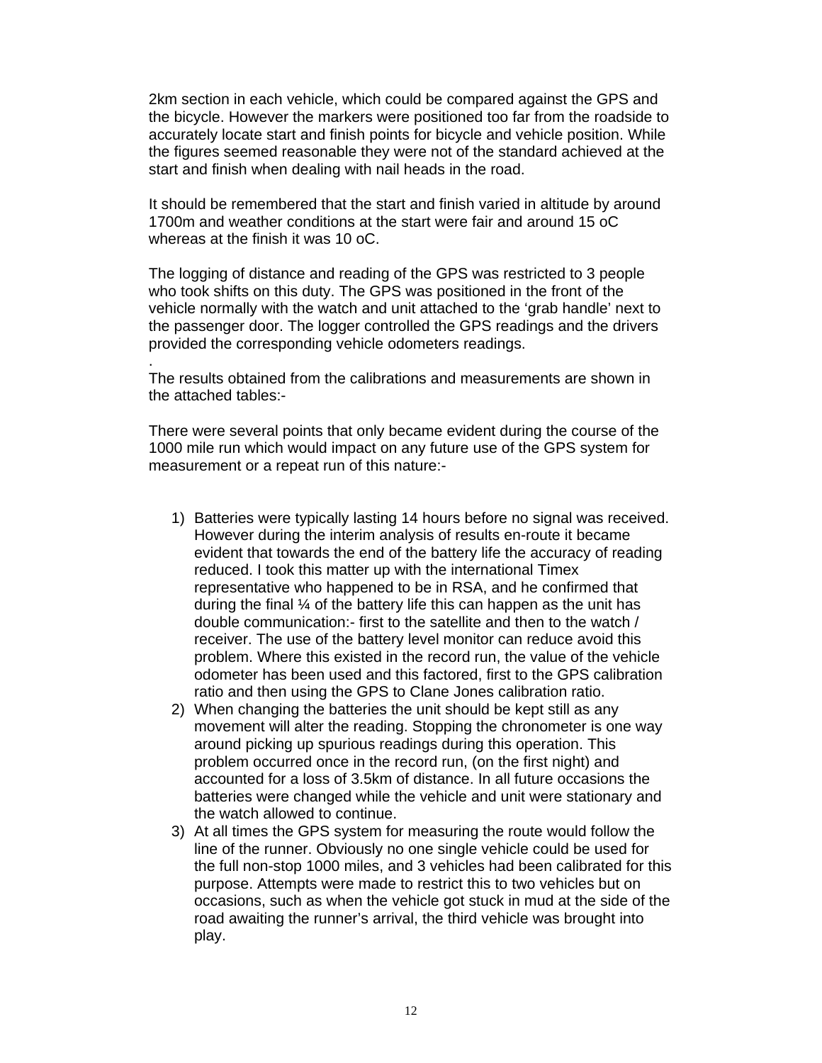2km section in each vehicle, which could be compared against the GPS and the bicycle. However the markers were positioned too far from the roadside to accurately locate start and finish points for bicycle and vehicle position. While the figures seemed reasonable they were not of the standard achieved at the start and finish when dealing with nail heads in the road.

It should be remembered that the start and finish varied in altitude by around 1700m and weather conditions at the start were fair and around 15 oC whereas at the finish it was 10 oC.

The logging of distance and reading of the GPS was restricted to 3 people who took shifts on this duty. The GPS was positioned in the front of the vehicle normally with the watch and unit attached to the 'grab handle' next to the passenger door. The logger controlled the GPS readings and the drivers provided the corresponding vehicle odometers readings.

The results obtained from the calibrations and measurements are shown in the attached tables:-

.

There were several points that only became evident during the course of the 1000 mile run which would impact on any future use of the GPS system for measurement or a repeat run of this nature:-

- 1) Batteries were typically lasting 14 hours before no signal was received. However during the interim analysis of results en-route it became evident that towards the end of the battery life the accuracy of reading reduced. I took this matter up with the international Timex representative who happened to be in RSA, and he confirmed that during the final  $\frac{1}{4}$  of the battery life this can happen as the unit has double communication:- first to the satellite and then to the watch / receiver. The use of the battery level monitor can reduce avoid this problem. Where this existed in the record run, the value of the vehicle odometer has been used and this factored, first to the GPS calibration ratio and then using the GPS to Clane Jones calibration ratio.
- 2) When changing the batteries the unit should be kept still as any movement will alter the reading. Stopping the chronometer is one way around picking up spurious readings during this operation. This problem occurred once in the record run, (on the first night) and accounted for a loss of 3.5km of distance. In all future occasions the batteries were changed while the vehicle and unit were stationary and the watch allowed to continue.
- 3) At all times the GPS system for measuring the route would follow the line of the runner. Obviously no one single vehicle could be used for the full non-stop 1000 miles, and 3 vehicles had been calibrated for this purpose. Attempts were made to restrict this to two vehicles but on occasions, such as when the vehicle got stuck in mud at the side of the road awaiting the runner's arrival, the third vehicle was brought into play.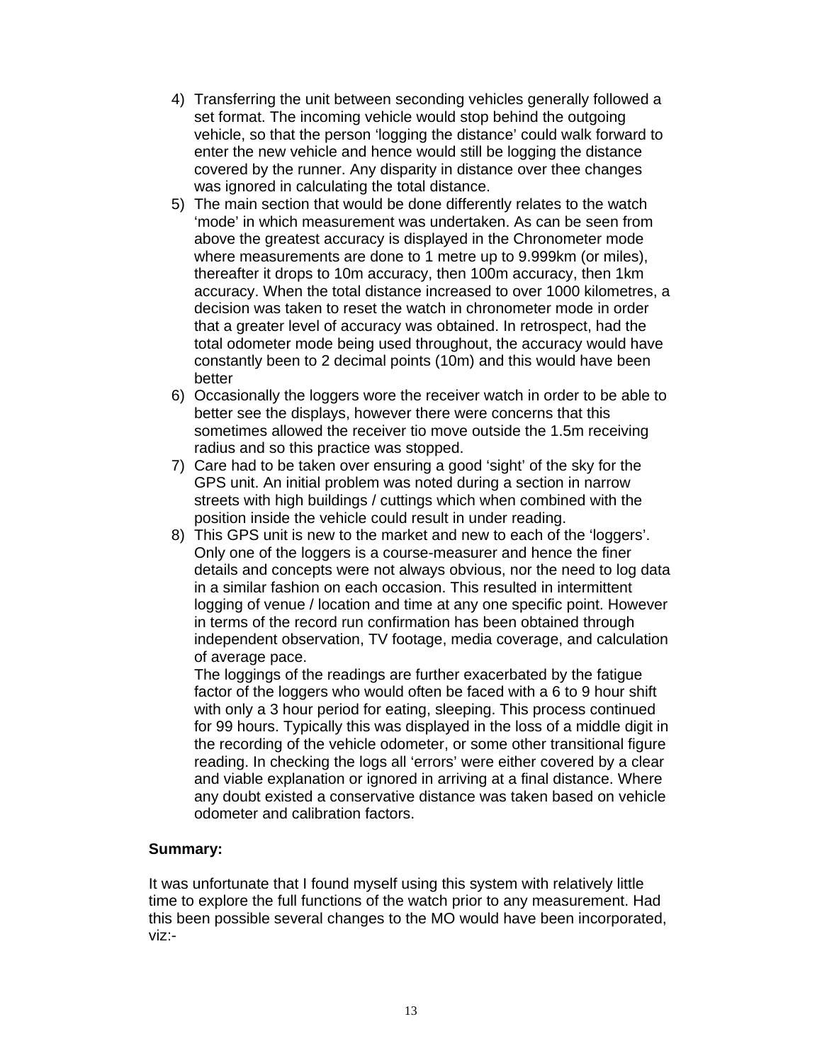- 4) Transferring the unit between seconding vehicles generally followed a set format. The incoming vehicle would stop behind the outgoing vehicle, so that the person 'logging the distance' could walk forward to enter the new vehicle and hence would still be logging the distance covered by the runner. Any disparity in distance over thee changes was ignored in calculating the total distance.
- 5) The main section that would be done differently relates to the watch 'mode' in which measurement was undertaken. As can be seen from above the greatest accuracy is displayed in the Chronometer mode where measurements are done to 1 metre up to 9.999km (or miles), thereafter it drops to 10m accuracy, then 100m accuracy, then 1km accuracy. When the total distance increased to over 1000 kilometres, a decision was taken to reset the watch in chronometer mode in order that a greater level of accuracy was obtained. In retrospect, had the total odometer mode being used throughout, the accuracy would have constantly been to 2 decimal points (10m) and this would have been better
- 6) Occasionally the loggers wore the receiver watch in order to be able to better see the displays, however there were concerns that this sometimes allowed the receiver tio move outside the 1.5m receiving radius and so this practice was stopped.
- 7) Care had to be taken over ensuring a good 'sight' of the sky for the GPS unit. An initial problem was noted during a section in narrow streets with high buildings / cuttings which when combined with the position inside the vehicle could result in under reading.
- 8) This GPS unit is new to the market and new to each of the 'loggers'. Only one of the loggers is a course-measurer and hence the finer details and concepts were not always obvious, nor the need to log data in a similar fashion on each occasion. This resulted in intermittent logging of venue / location and time at any one specific point. However in terms of the record run confirmation has been obtained through independent observation, TV footage, media coverage, and calculation of average pace.

The loggings of the readings are further exacerbated by the fatigue factor of the loggers who would often be faced with a 6 to 9 hour shift with only a 3 hour period for eating, sleeping. This process continued for 99 hours. Typically this was displayed in the loss of a middle digit in the recording of the vehicle odometer, or some other transitional figure reading. In checking the logs all 'errors' were either covered by a clear and viable explanation or ignored in arriving at a final distance. Where any doubt existed a conservative distance was taken based on vehicle odometer and calibration factors.

#### **Summary:**

It was unfortunate that I found myself using this system with relatively little time to explore the full functions of the watch prior to any measurement. Had this been possible several changes to the MO would have been incorporated, viz:-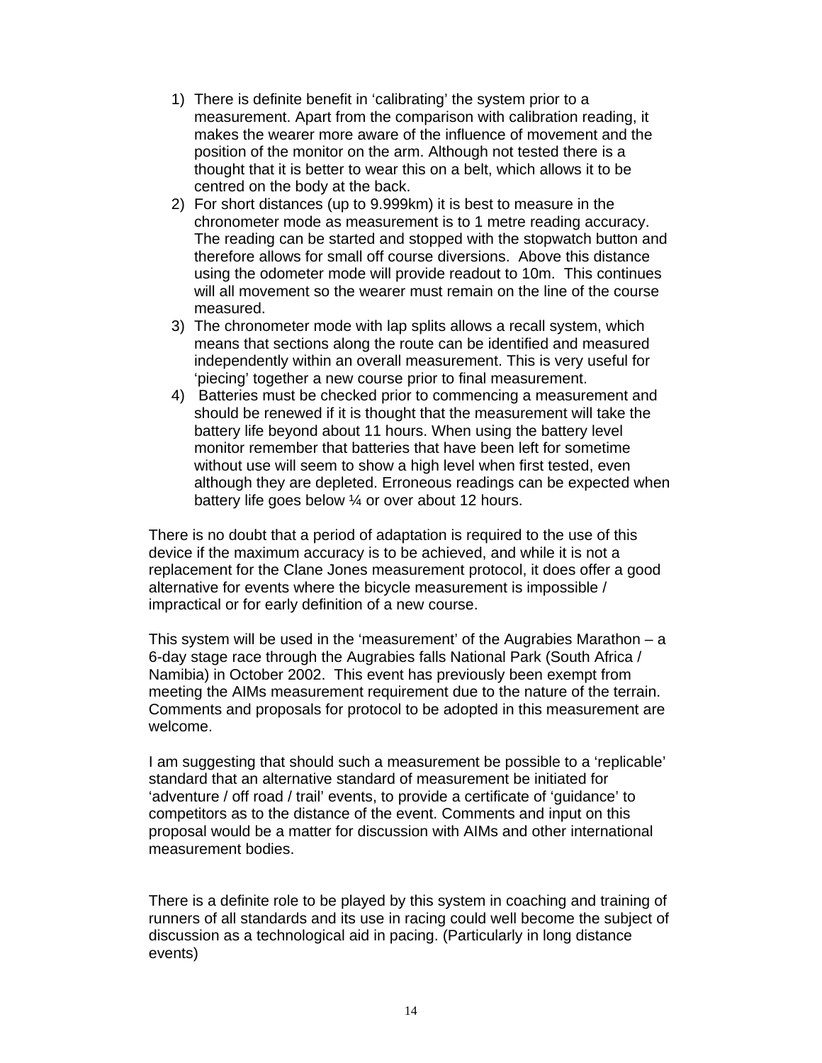- 1) There is definite benefit in 'calibrating' the system prior to a measurement. Apart from the comparison with calibration reading, it makes the wearer more aware of the influence of movement and the position of the monitor on the arm. Although not tested there is a thought that it is better to wear this on a belt, which allows it to be centred on the body at the back.
- 2) For short distances (up to 9.999km) it is best to measure in the chronometer mode as measurement is to 1 metre reading accuracy. The reading can be started and stopped with the stopwatch button and therefore allows for small off course diversions. Above this distance using the odometer mode will provide readout to 10m. This continues will all movement so the wearer must remain on the line of the course measured.
- 3) The chronometer mode with lap splits allows a recall system, which means that sections along the route can be identified and measured independently within an overall measurement. This is very useful for 'piecing' together a new course prior to final measurement.
- 4) Batteries must be checked prior to commencing a measurement and should be renewed if it is thought that the measurement will take the battery life beyond about 11 hours. When using the battery level monitor remember that batteries that have been left for sometime without use will seem to show a high level when first tested, even although they are depleted. Erroneous readings can be expected when battery life goes below ¼ or over about 12 hours.

There is no doubt that a period of adaptation is required to the use of this device if the maximum accuracy is to be achieved, and while it is not a replacement for the Clane Jones measurement protocol, it does offer a good alternative for events where the bicycle measurement is impossible / impractical or for early definition of a new course.

This system will be used in the 'measurement' of the Augrabies Marathon  $-$  a 6-day stage race through the Augrabies falls National Park (South Africa / Namibia) in October 2002. This event has previously been exempt from meeting the AIMs measurement requirement due to the nature of the terrain. Comments and proposals for protocol to be adopted in this measurement are welcome.

I am suggesting that should such a measurement be possible to a 'replicable' standard that an alternative standard of measurement be initiated for 'adventure / off road / trail' events, to provide a certificate of 'guidance' to competitors as to the distance of the event. Comments and input on this proposal would be a matter for discussion with AIMs and other international measurement bodies.

There is a definite role to be played by this system in coaching and training of runners of all standards and its use in racing could well become the subject of discussion as a technological aid in pacing. (Particularly in long distance events)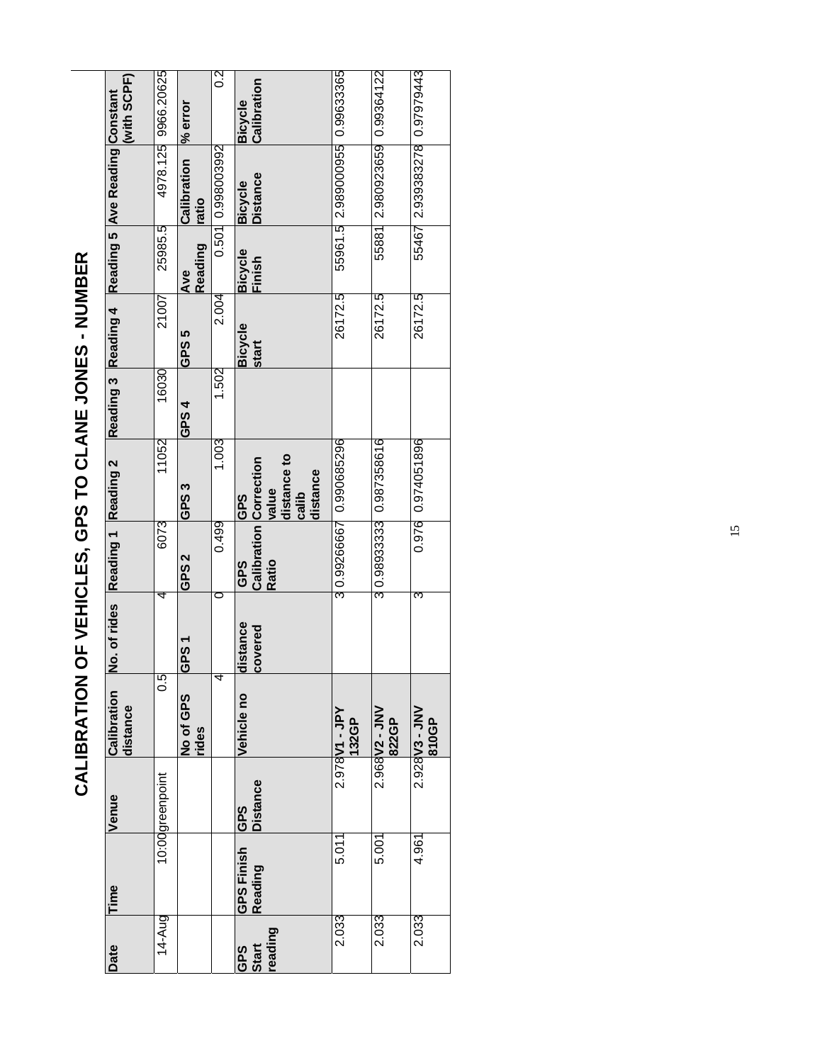| Date                   | Time                         | Venue                  | Calibration<br>distance | No. of rides        | Reading 1 Reading 2                                  |                                                  | Reading 3 Reading 4 |                         |                          | Reading 5 Ave Reading Constant | (with SCPF)                   |
|------------------------|------------------------------|------------------------|-------------------------|---------------------|------------------------------------------------------|--------------------------------------------------|---------------------|-------------------------|--------------------------|--------------------------------|-------------------------------|
| 14-Aug                 |                              | 10:00greenpoint        | 0.5                     | 4                   | 6073                                                 | 11052                                            | 16030               | 21007                   | 25985.5                  | 4978.125                       | 9966.20625                    |
|                        |                              |                        | No of GPS<br>rides      | TS19                | GPS 2                                                | GPS3                                             | GPS 4               | GPS 5                   | Reading<br>Ave           | Calibration<br>atio            | % error                       |
|                        |                              |                        | 4                       |                     | 0.499                                                | 1.003                                            | 1.502               | 2.004                   | 0.501                    | 0.998003992                    | ္က                            |
| eading<br>GPS<br>Start | <b>GPS Finish</b><br>Reading | Distance<br><b>GPS</b> | Vehicle no              | distance<br>covered | <b>Calibration Correction</b><br><b>Ratio</b><br>GPS | distance to<br>distance<br>value<br>calib<br>GPS |                     | <b>Bicycle</b><br>start | <b>Bicycle</b><br>Finish | <b>Distance</b><br>Bicycle     | Calibration<br><b>Bicycle</b> |
| 2.033                  | 5.011                        |                        | 2.978V1 - JPY<br>132GP  |                     | 3 0.99266667                                         | 0.990685296                                      |                     | 26172.5                 |                          | 55961.5 2.989000955 0.99633365 |                               |
| 2.033                  | 5.001                        |                        | 2.968V2 - JNV<br>822GP  |                     |                                                      | 3 0.98933333 0.987358616                         |                     | 26172.5                 |                          | 55881 2.980923659 0.99364122   |                               |
| 2.033                  | 4.961                        |                        | 2.928 V3 - JNV<br>810GP | 3                   |                                                      | 0.976 0.974051896                                |                     | 26172.5                 |                          | 55467 2.939383278 0.97979443   |                               |

# **CALIBRATION OF VEHICLES, GPS TO CLANE JONES - NUMBER**  CALIBRATION OF VEHICLES, GPS TO CLANE JONES - NUMBER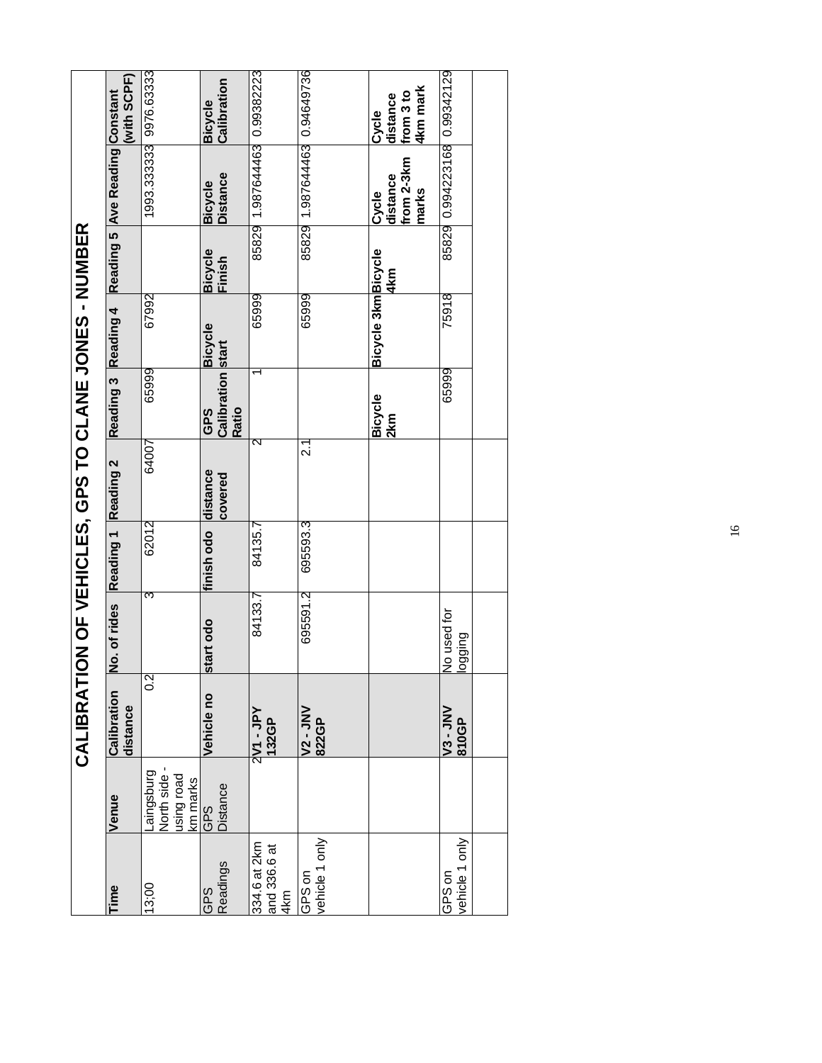|                                     |                                          | CALIBRATI                      |                        |                     | ON OF VEHICLES, GPS TO CLANE |                                                 |                     |                   |                                          |                                            |
|-------------------------------------|------------------------------------------|--------------------------------|------------------------|---------------------|------------------------------|-------------------------------------------------|---------------------|-------------------|------------------------------------------|--------------------------------------------|
| Time                                | Venue                                    | <b>Calibration</b><br>distance | No. of rides           | Reading 1 Reading 2 |                              | Reading 3 Reading 4                             |                     |                   | Reading 5 Ave Reading Constant           | with SCPF)                                 |
| 13;00                               | Laingsburg<br>North side -<br>beor prist | $\overline{0.2}$               | 3                      | 62012               | 64007                        | 65999                                           | 67992               |                   | 1993 333333 9976 63333                   |                                            |
| Readings<br><b>SdC</b>              | km marks<br>GPS<br><b>Distance</b>       | Vehicle no                     | start odo              | finish odo          | distance<br>covered          | <b>Calibration</b> start<br><b>Ratio</b><br>GPS | <b>Bicycle</b>      | Bicycle<br>Finish | <b>Distance</b><br><b>Bicycle</b>        | Calibration<br><b>Bicycle</b>              |
| 334.6 at 2km<br>and 336.6 at<br>4km |                                          | $2$ V1 - JPY<br>132GP          | 84133.7                | 84135.7             | ন                            |                                                 | 65999               |                   | 85829 1.987644463 0.99382223             |                                            |
| rehicle 1 only<br>GPS on            |                                          | <b>V2 - JNV</b><br>822GP       | 695591.2               | 695593.3            | بر<br>2                      |                                                 | 65999               |                   | 85829 1.987644463 0.94649736             |                                            |
|                                     |                                          |                                |                        |                     |                              | <b>Bicycle</b><br>2km                           | Bicycle 3km Bicycle | 4km               | from 2-3km<br>distance<br>narks<br>Cycle | 4km mark<br>from 3 to<br>distance<br>Cycle |
| ehicle 1 only<br>GPS on             |                                          | <b>V3-JNV</b><br>810GP         | No used for<br>puippol |                     |                              | 65999                                           | 75918               |                   | 85829 0.994223168 0.99342129             |                                            |
|                                     |                                          |                                |                        |                     |                              |                                                 |                     |                   |                                          |                                            |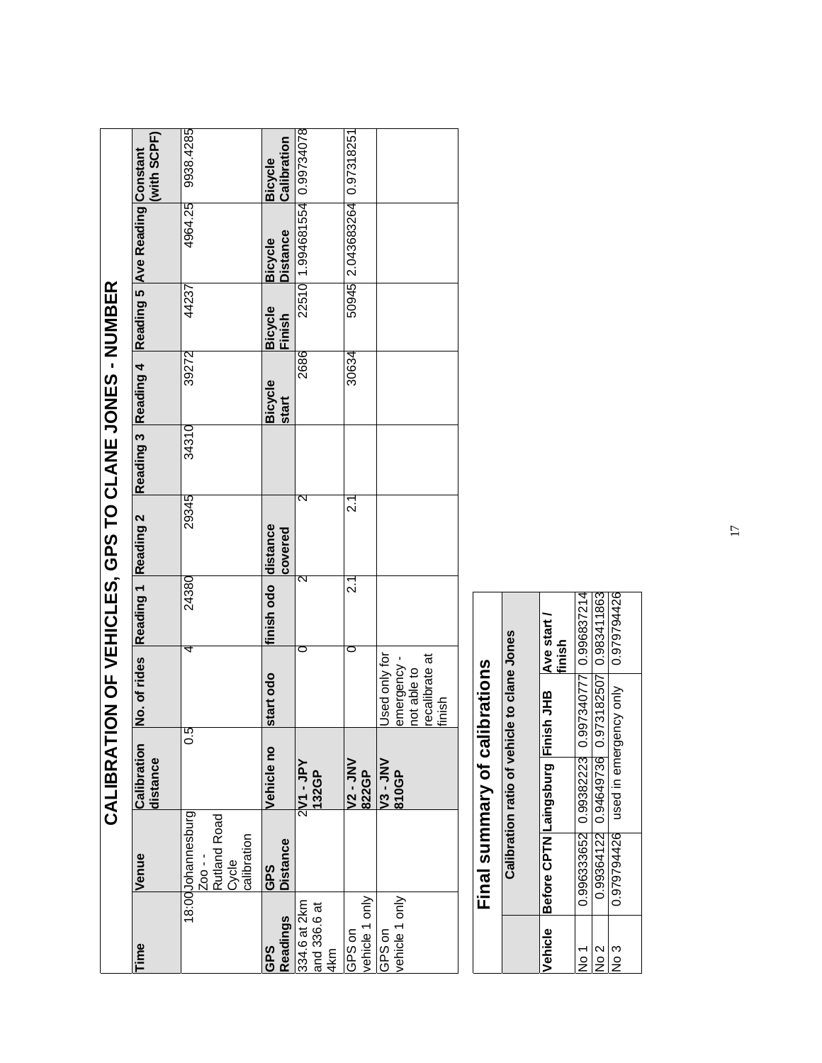|                                     |                                                                      | CALIBRAT                |                                                                        |                     | ON OF VEHICLES, GPS TO SAGES |       |                         |                          |                                   |                               |
|-------------------------------------|----------------------------------------------------------------------|-------------------------|------------------------------------------------------------------------|---------------------|------------------------------|-------|-------------------------|--------------------------|-----------------------------------|-------------------------------|
| lime                                | Venue                                                                | Calibration<br>distance | No. of rides Reading 1 Reading 2                                       |                     |                              |       | Reading 3 Reading 4     |                          | Reading 5 Ave Reading Constant    | (with SCPF)                   |
|                                     | 18:00Johannesburg<br>Zoo - -<br>Rutland Road<br>Cycle<br>calibration | 0.5                     | 4                                                                      | 24380               | 29345                        | 34310 | 39272                   | 44237                    | 4964.25                           | 9938.4285                     |
| Readings<br>GPS                     | <b>Distance</b><br>GPS                                               | Vehicle no              | start odo                                                              | finish odo distance | covered                      |       | <b>Bicycle</b><br>start | <b>Bicycle</b><br>Finish | <b>Distance</b><br><b>Bicycle</b> | Calibration<br><b>Bicycle</b> |
| 334.6 at 2km<br>and 336.6 at<br>4km |                                                                      | 2M - 2M<br>132GP        |                                                                        | 2                   | 2                            |       | 2686                    |                          | 22510 1.994681554 0.99734078      |                               |
| vehicle 1 only<br>GPS on            |                                                                      | <b>NN-12-</b><br>822GP  | ⊂                                                                      | 2.1                 | ี<br>21                      |       | 30634                   |                          | 50945 2.043683264 0.97318251      |                               |
| vehicle 1 only<br>GPS on            |                                                                      | VNL-SV<br>810GP         | Used only for<br>recalibrate at<br>emergency-<br>not able to<br>finish |                     |                              |       |                         |                          |                                   |                               |

|               |                                                       | Final summary of calibrations                    |        |
|---------------|-------------------------------------------------------|--------------------------------------------------|--------|
|               |                                                       | Calibration ratio of vehicle to clane Jones      |        |
|               | Vehicle Before CPTN Laingsburg Finish JHB Ave start / |                                                  | finish |
| $\frac{1}{2}$ |                                                       | 0.996333652 0.99382223 0.997340777 0.996837214   |        |
| $\frac{2}{2}$ |                                                       | 0.99364122 0.94649736 0.973182507 0.983411863    |        |
| No 3          |                                                       | 0.979794426 used in emergency only   0.979794426 |        |
|               |                                                       |                                                  |        |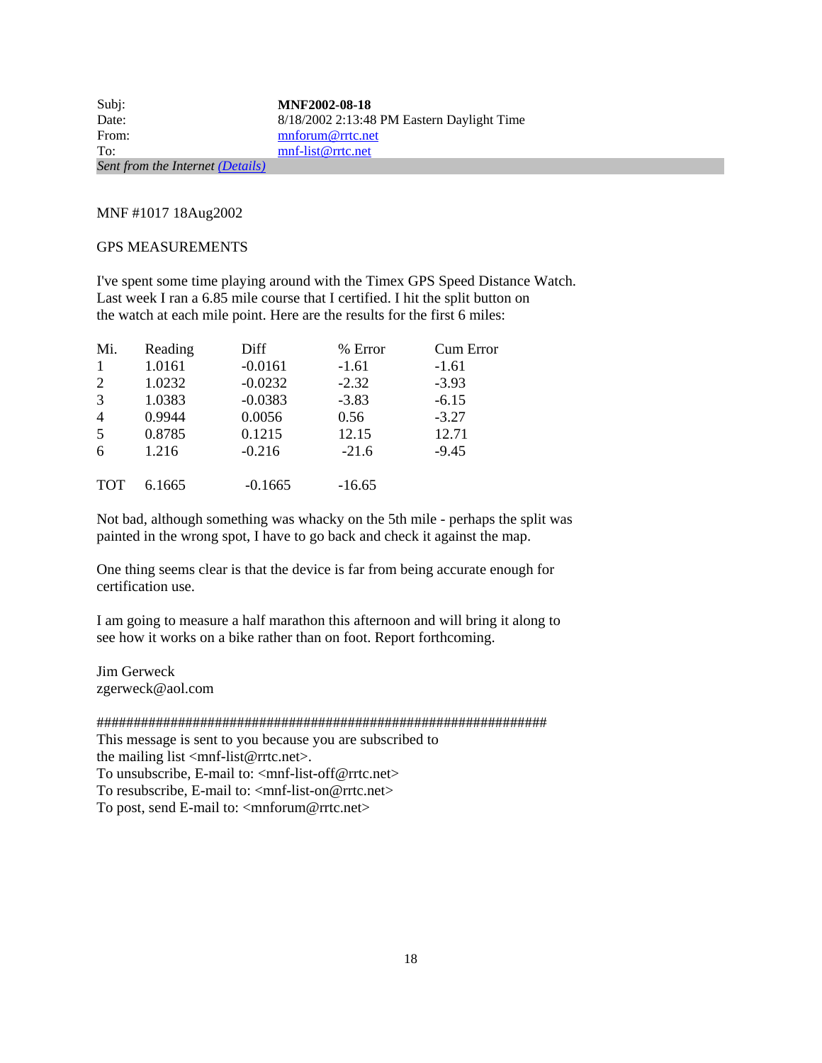| Subj:                            | <b>MNF2002-08-18</b>                         |
|----------------------------------|----------------------------------------------|
| Date:                            | $8/18/2002$ 2:13:48 PM Eastern Daylight Time |
| From:                            | mnforum@rrtc.net                             |
| To:                              | mnf-list@rrtc.net                            |
| Sent from the Internet (Details) |                                              |

MNF #1017 18Aug2002

#### GPS MEASUREMENTS

I've spent some time playing around with the Timex GPS Speed Distance Watch. Last week I ran a 6.85 mile course that I certified. I hit the split button on the watch at each mile point. Here are the results for the first 6 miles:

| Mi.            | Reading | Diff      | % Error  | <b>Cum Error</b> |
|----------------|---------|-----------|----------|------------------|
| $\mathbf{1}$   | 1.0161  | $-0.0161$ | $-1.61$  | $-1.61$          |
| 2              | 1.0232  | $-0.0232$ | $-2.32$  | $-3.93$          |
| 3              | 1.0383  | $-0.0383$ | $-3.83$  | $-6.15$          |
| $\overline{4}$ | 0.9944  | 0.0056    | 0.56     | $-3.27$          |
| 5              | 0.8785  | 0.1215    | 12.15    | 12.71            |
| 6              | 1.216   | $-0.216$  | $-21.6$  | $-9.45$          |
|                |         |           |          |                  |
| <b>TOT</b>     | 6.1665  | $-0.1665$ | $-16.65$ |                  |

Not bad, although something was whacky on the 5th mile - perhaps the split was painted in the wrong spot, I have to go back and check it against the map.

One thing seems clear is that the device is far from being accurate enough for certification use.

I am going to measure a half marathon this afternoon and will bring it along to see how it works on a bike rather than on foot. Report forthcoming.

Jim Gerweck zgerweck@aol.com

#############################################################

This message is sent to you because you are subscribed to the mailing list  $\langle$ mnf-list@rrtc.net $\rangle$ .

To unsubscribe, E-mail to: <mnf-list-off@rrtc.net>

To resubscribe, E-mail to:  $\langle \text{mnf-list-on@rrtc.net} \rangle$ To post, send E-mail to: <mnforum@rrtc.net>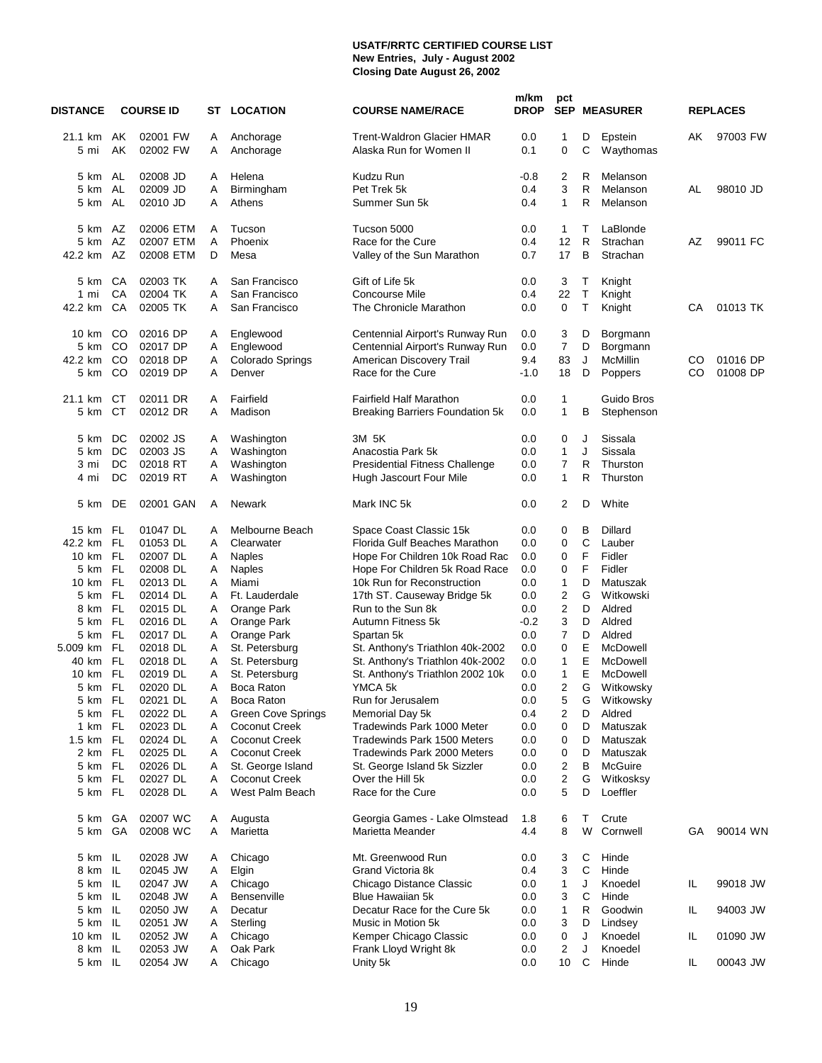#### **USATF/RRTC CERTIFIED COURSE LIST New Entries, July - August 2002 Closing Date August 26, 2002**

| <b>DISTANCE</b> |           | <b>COURSE ID</b>     |        | <b>ST LOCATION</b>         | <b>COURSE NAME/RACE</b>                                      | m/km<br><b>DROP</b> | pct                     |             | <b>SEP MEASURER</b>  |     | <b>REPLACES</b> |
|-----------------|-----------|----------------------|--------|----------------------------|--------------------------------------------------------------|---------------------|-------------------------|-------------|----------------------|-----|-----------------|
| 21.1 km<br>5 mi | AK<br>AK  | 02001 FW<br>02002 FW | A<br>A | Anchorage<br>Anchorage     | <b>Trent-Waldron Glacier HMAR</b><br>Alaska Run for Women II | 0.0<br>0.1          | 1<br>0                  | D<br>С      | Epstein<br>Waythomas | AK  | 97003 FW        |
| 5 km AL         |           | 02008 JD             | A      | Helena                     | Kudzu Run                                                    | $-0.8$              | 2                       | R           | Melanson             |     |                 |
| 5 km            | AL        | 02009 JD             | Α      | Birmingham                 | Pet Trek 5k                                                  | 0.4                 | 3                       | R           | Melanson             | AL  | 98010 JD        |
| 5 km            | AL        | 02010 JD             | A      | Athens                     | Summer Sun 5k                                                | 0.4                 | 1                       | R           | Melanson             |     |                 |
| 5 km            | AZ        | 02006 ETM            | A      | Tucson                     | Tucson 5000                                                  | 0.0                 | 1                       | т           | LaBlonde             |     |                 |
| 5 km            | AZ        | 02007 ETM            | A      | Phoenix                    | Race for the Cure                                            | 0.4                 | 12                      | R           | Strachan             | AZ  | 99011 FC        |
| 42.2 km         | AZ        | 02008 ETM            | D      | Mesa                       | Valley of the Sun Marathon                                   | 0.7                 | 17                      | в           | Strachan             |     |                 |
| 5 km            | CA        | 02003 TK             | A      | San Francisco              | Gift of Life 5k                                              | 0.0                 | 3                       | Т           | Knight               |     |                 |
| $1 \text{ mi}$  | CA        | 02004 TK             | A      | San Francisco              | <b>Concourse Mile</b>                                        | 0.4                 | 22                      | $\mathsf T$ | Knight               |     |                 |
| 42.2 km         | CA        | 02005 TK             | A      | San Francisco              | The Chronicle Marathon                                       | 0.0                 | $\mathbf 0$             | Τ           | Knight               | CА  | 01013 TK        |
| 10 km           | CO        | 02016 DP             | A      | Englewood                  | Centennial Airport's Runway Run                              | 0.0                 | 3                       | D           | Borgmann             |     |                 |
| 5 km            | CO        | 02017 DP             | A      | Englewood                  | Centennial Airport's Runway Run                              | 0.0                 | 7                       | D           | Borgmann             |     |                 |
| 42.2 km         | CO        | 02018 DP             | Α      | Colorado Springs           | American Discovery Trail                                     | 9.4                 | 83                      | J           | McMillin             | CO  | 01016 DP        |
| 5 km            | CO        | 02019 DP             | A      | Denver                     | Race for the Cure                                            | $-1.0$              | 18                      | D           | Poppers              | CO  | 01008 DP        |
| 21.1 km         | СT        | 02011 DR             | A      | Fairfield                  | <b>Fairfield Half Marathon</b>                               | 0.0                 | 1                       |             | Guido Bros           |     |                 |
| 5 km            | СT        | 02012 DR             | A      | Madison                    | Breaking Barriers Foundation 5k                              | 0.0                 | 1                       | в           | Stephenson           |     |                 |
| 5 km            | DC        | 02002 JS             | A      | Washington                 | 3M 5K                                                        | 0.0                 | 0                       | J           | Sissala              |     |                 |
| 5 km            | DC        | 02003 JS             | A      | Washington                 | Anacostia Park 5k                                            | 0.0                 | $\mathbf{1}$            | J           | Sissala              |     |                 |
| 3 mi            | DC        | 02018 RT             | Α      | Washington                 | <b>Presidential Fitness Challenge</b>                        | 0.0                 | 7                       | R           | Thurston             |     |                 |
| 4 mi            | DC        | 02019 RT             | Α      | Washington                 | Hugh Jascourt Four Mile                                      | 0.0                 | 1                       | R           | Thurston             |     |                 |
| 5 km            | DE        | 02001 GAN            | Α      | Newark                     | Mark INC 5k                                                  | 0.0                 | 2                       | D           | White                |     |                 |
| 15 km FL        |           | 01047 DL             | A      | Melbourne Beach            | Space Coast Classic 15k                                      | 0.0                 | 0                       | B           | Dillard              |     |                 |
| 42.2 km FL      |           | 01053 DL             | A      | Clearwater                 | Florida Gulf Beaches Marathon                                | 0.0                 | 0                       | C           | Lauber               |     |                 |
| 10 km FL        |           | 02007 DL             | Α      | <b>Naples</b>              | Hope For Children 10k Road Rac                               | 0.0                 | 0                       | F           | Fidler               |     |                 |
| 5 km            | FL        | 02008 DL             | Α      | <b>Naples</b>              | Hope For Children 5k Road Race                               | 0.0                 | 0                       | F           | Fidler               |     |                 |
| 10 km           | FL        | 02013 DL             | A      | Miami                      | 10k Run for Reconstruction                                   | 0.0                 | 1                       | D           | Matuszak             |     |                 |
| 5 km FL         |           | 02014 DL             | A      | Ft. Lauderdale             | 17th ST. Causeway Bridge 5k                                  | 0.0                 | 2                       | G           | Witkowski            |     |                 |
| 8 km            | FL        | 02015 DL             | Α      | Orange Park                | Run to the Sun 8k                                            | 0.0                 | $\overline{\mathbf{c}}$ | D           | Aldred               |     |                 |
| 5 km<br>5 km    | FL<br>FL. | 02016 DL<br>02017 DL | Α<br>Α | Orange Park<br>Orange Park | Autumn Fitness 5k                                            | $-0.2$              | 3<br>$\overline{7}$     | D<br>D      | Aldred<br>Aldred     |     |                 |
| 5.009 km        | FL        | 02018 DL             | Α      | St. Petersburg             | Spartan 5k<br>St. Anthony's Triathlon 40k-2002               | 0.0<br>0.0          | 0                       | Ε           | McDowell             |     |                 |
| 40 km           | FL        | 02018 DL             | Α      | St. Petersburg             | St. Anthony's Triathlon 40k-2002                             | 0.0                 | 1                       | E           | McDowell             |     |                 |
| 10 km           | FL        | 02019 DL             | Α      | St. Petersburg             | St. Anthony's Triathlon 2002 10k                             | 0.0                 | 1                       | E           | McDowell             |     |                 |
| 5 km FL         |           | 02020 DL             | A      | <b>Boca Raton</b>          | YMCA 5k                                                      | 0.0                 | $\overline{2}$          | G           | Witkowsky            |     |                 |
| 5 km FL         |           | 02021 DL             | Α      | Boca Raton                 | Run for Jerusalem                                            | 0.0                 | 5                       | G           | Witkowsky            |     |                 |
| 5 km FL         |           | 02022 DL             | Α      | <b>Green Cove Springs</b>  | Memorial Day 5k                                              | 0.4                 | $\overline{\mathbf{c}}$ | D           | Aldred               |     |                 |
| 1 km FL         |           | 02023 DL             | Α      | <b>Coconut Creek</b>       | Tradewinds Park 1000 Meter                                   | 0.0                 | 0                       | D           | Matuszak             |     |                 |
| 1.5 km FL       |           | 02024 DL             | Α      | Coconut Creek              | Tradewinds Park 1500 Meters                                  | 0.0                 | 0                       | D           | Matuszak             |     |                 |
| 2 km FL         |           | 02025 DL             | Α      | <b>Coconut Creek</b>       | Tradewinds Park 2000 Meters                                  | 0.0                 | 0                       | D           | Matuszak             |     |                 |
| 5 km FL         |           | 02026 DL             | A      | St. George Island          | St. George Island 5k Sizzler                                 | 0.0                 | $\overline{\mathbf{c}}$ | В           | McGuire              |     |                 |
| 5 km            | FL        | 02027 DL             | Α      | Coconut Creek              | Over the Hill 5k                                             | 0.0                 | 2                       | G           | Witkosksy            |     |                 |
| 5 km FL         |           | 02028 DL             | A      | West Palm Beach            | Race for the Cure                                            | 0.0                 | 5                       | D           | Loeffler             |     |                 |
| 5 km            | GA        | 02007 WC             | A      | Augusta                    | Georgia Games - Lake Olmstead                                | 1.8                 | 6                       | т           | Crute                |     |                 |
| 5 km            | GA        | 02008 WC             | A      | Marietta                   | Marietta Meander                                             | 4.4                 | 8                       | W           | Cornwell             | GА  | 90014 WN        |
| 5 km IL         |           | 02028 JW             | A      | Chicago                    | Mt. Greenwood Run                                            | 0.0                 | 3                       | С           | Hinde                |     |                 |
| 8 km IL         |           | 02045 JW             | A      | Elgin                      | Grand Victoria 8k                                            | 0.4                 | 3                       | C           | Hinde                |     |                 |
| 5 km            | - IL      | 02047 JW             | Α      | Chicago                    | Chicago Distance Classic                                     | 0.0                 | 1                       | J           | Knoedel              | IL  | 99018 JW        |
| 5 km IL         |           | 02048 JW             | A      | Bensenville                | <b>Blue Hawaiian 5k</b>                                      | 0.0                 | 3                       | C           | Hinde                |     |                 |
| 5 km IL         |           | 02050 JW             | A      | Decatur                    | Decatur Race for the Cure 5k                                 | 0.0                 | 1                       | R           | Goodwin              | IL  | 94003 JW        |
| 5 km            | -lL       | 02051 JW             | Α      | Sterling                   | Music in Motion 5k                                           | 0.0                 | 3                       | D           | Lindsey              |     |                 |
| 10 km           | - IL      | 02052 JW             | A      | Chicago                    | Kemper Chicago Classic                                       | 0.0                 | 0                       | J           | Knoedel              | IL. | 01090 JW        |
| 8 km IL         |           | 02053 JW             | A      | Oak Park                   | Frank Lloyd Wright 8k                                        | 0.0                 | 2                       | J           | Knoedel              |     |                 |
| 5 km IL         |           | 02054 JW             | Α      | Chicago                    | Unity 5k                                                     | 0.0                 | 10                      | C           | Hinde                | IL. | 00043 JW        |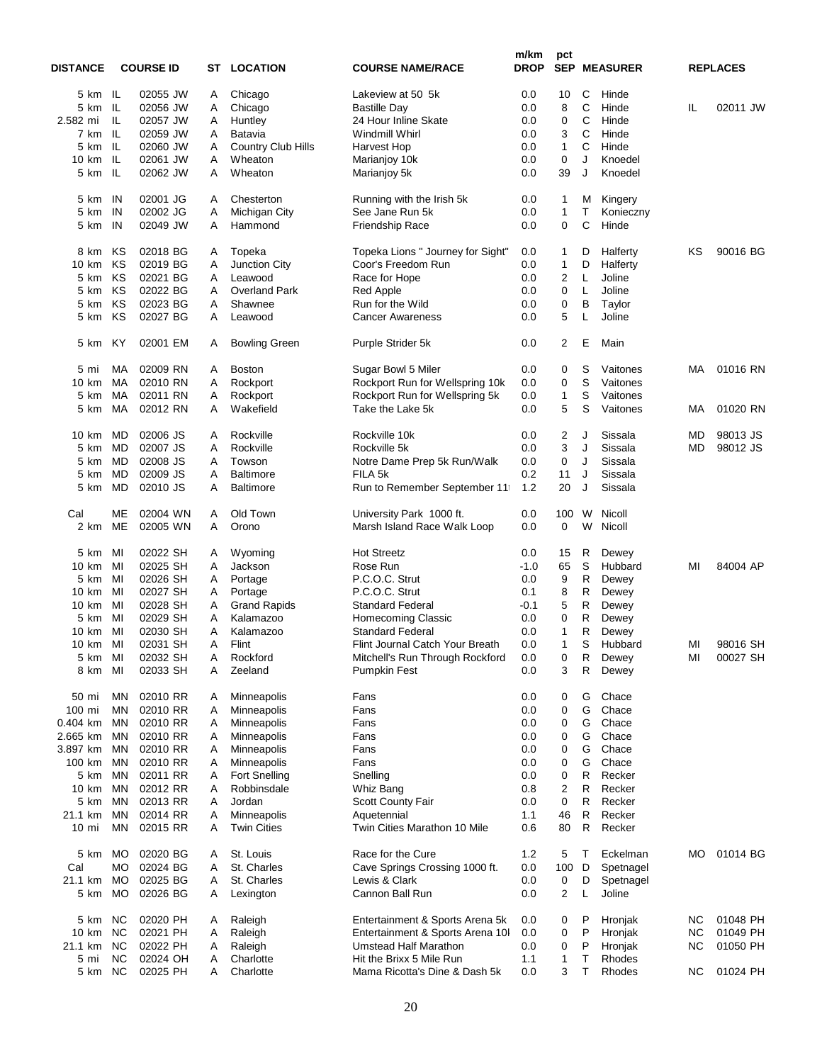| <b>DISTANCE</b> |               | <b>COURSE ID</b> | ST | <b>LOCATION</b>           | <b>COURSE NAME/RACE</b>           | m/km<br><b>DROP</b> | pct<br><b>SEP</b> |             | <b>MEASURER</b> |           | <b>REPLACES</b> |
|-----------------|---------------|------------------|----|---------------------------|-----------------------------------|---------------------|-------------------|-------------|-----------------|-----------|-----------------|
| 5 km IL         |               | 02055 JW         | A  | Chicago                   | Lakeview at 50 5k                 | 0.0                 | 10                | C           | Hinde           |           |                 |
| 5 km            | IL            | 02056 JW         | Α  | Chicago                   | <b>Bastille Day</b>               | 0.0                 | 8                 | C           | Hinde           | IL        | 02011 JW        |
| 2.582 mi        | IL            | 02057 JW         | A  | Huntley                   | 24 Hour Inline Skate              | 0.0                 | 0                 | С           | Hinde           |           |                 |
|                 | IL.           |                  |    | Batavia                   | Windmill Whirl                    | 0.0                 | 3                 | С           | Hinde           |           |                 |
| 7 km            |               | 02059 JW         | A  |                           |                                   |                     |                   |             |                 |           |                 |
| 5 km            | IL            | 02060 JW         | A  | <b>Country Club Hills</b> | Harvest Hop                       | 0.0                 | 1                 | С           | Hinde           |           |                 |
| 10 km           | IL            | 02061 JW         | A  | Wheaton                   | Marianjoy 10k                     | 0.0                 | 0                 | J           | Knoedel         |           |                 |
| 5 km            | IL            | 02062 JW         | Α  | Wheaton                   | Marianjoy 5k                      | 0.0                 | 39                | J           | Knoedel         |           |                 |
| 5 km            | IN.           | 02001 JG         | A  | Chesterton                | Running with the Irish 5k         | 0.0                 | 1                 | M           | Kingery         |           |                 |
| 5 km            | IN            | 02002 JG         | Α  | <b>Michigan City</b>      | See Jane Run 5k                   | 0.0                 | $\mathbf{1}$      | т           | Konieczny       |           |                 |
| 5 km            | IN            | 02049 JW         | A  | Hammond                   | <b>Friendship Race</b>            | 0.0                 | 0                 | С           | Hinde           |           |                 |
| 8 km            | ΚS            | 02018 BG         | A  | Topeka                    | Topeka Lions " Journey for Sight" | 0.0                 | 1                 | D           | Halferty        | κs        | 90016 BG        |
| 10 km           | KS            | 02019 BG         | A  | <b>Junction City</b>      | Coor's Freedom Run                | 0.0                 | $\mathbf{1}$      | D           | Halferty        |           |                 |
| 5 km            | ΚS            | 02021 BG         | Α  | Leawood                   | Race for Hope                     | 0.0                 | $\overline{2}$    | L           | Joline          |           |                 |
| 5 km            | KS            | 02022 BG         | A  | <b>Overland Park</b>      | <b>Red Apple</b>                  | 0.0                 | 0                 | L           | Joline          |           |                 |
|                 | KS            | 02023 BG         |    |                           |                                   |                     |                   | B           |                 |           |                 |
| 5 km            |               |                  | Α  | Shawnee                   | Run for the Wild                  | 0.0                 | 0                 |             | Taylor          |           |                 |
| 5 km            | KS            | 02027 BG         | A  | Leawood                   | <b>Cancer Awareness</b>           | 0.0                 | 5                 | L           | Joline          |           |                 |
| 5 km            | KY            | 02001 EM         | A  | <b>Bowling Green</b>      | Purple Strider 5k                 | 0.0                 | $\overline{2}$    | Ε           | Main            |           |                 |
| 5 mi            | МA            | 02009 RN         | A  | <b>Boston</b>             | Sugar Bowl 5 Miler                | 0.0                 | 0                 | S           | Vaitones        | МA        | 01016 RN        |
| 10 km           | МA            | 02010 RN         | Α  | Rockport                  | Rockport Run for Wellspring 10k   | 0.0                 | 0                 | S           | Vaitones        |           |                 |
| 5 km            | МA            | 02011 RN         | Α  | Rockport                  | Rockport Run for Wellspring 5k    | 0.0                 | 1                 | S           | Vaitones        |           |                 |
| 5 km            | MA            | 02012 RN         | A  | Wakefield                 | Take the Lake 5k                  | 0.0                 | 5                 | S           | Vaitones        | MA        | 01020 RN        |
| 10 km           | MD            | 02006 JS         | A  | Rockville                 | Rockville 10k                     | 0.0                 | $\overline{c}$    | J           | Sissala         | MD        | 98013 JS        |
| 5 km            | MD            | 02007 JS         | A  | Rockville                 | Rockville 5k                      | 0.0                 | 3                 | J           | Sissala         | MD        | 98012 JS        |
|                 |               | 02008 JS         |    |                           |                                   |                     |                   | J           | Sissala         |           |                 |
| 5 km            | MD            |                  | Α  | Towson                    | Notre Dame Prep 5k Run/Walk       | 0.0                 | 0                 |             |                 |           |                 |
| 5 km            | MD            | 02009 JS         | Α  | <b>Baltimore</b>          | FILA 5k                           | 0.2                 | 11                | J           | Sissala         |           |                 |
| 5 km            | MD            | 02010 JS         | A  | <b>Baltimore</b>          | Run to Remember September 11      | 1.2                 | 20                | J           | Sissala         |           |                 |
| Cal             | MЕ            | 02004 WN         | A  | Old Town                  | University Park 1000 ft.          | 0.0                 | 100               | W           | Nicoll          |           |                 |
| 2 km            | МE            | 02005 WN         | A  | Orono                     | Marsh Island Race Walk Loop       | 0.0                 | 0                 | W           | Nicoll          |           |                 |
| 5 km            | MI            | 02022 SH         | A  | Wyoming                   | <b>Hot Streetz</b>                | 0.0                 | 15                | R           | Dewey           |           |                 |
| 10 km           | MI            | 02025 SH         | Α  | Jackson                   | Rose Run                          | $-1.0$              | 65                | $\mathbb S$ | Hubbard         | MI        | 84004 AP        |
| 5 km            | MI            | 02026 SH         | A  | Portage                   | P.C.O.C. Strut                    | 0.0                 | 9                 | R           | Dewey           |           |                 |
| 10 km           | MI            |                  |    |                           |                                   |                     | 8                 | R           |                 |           |                 |
|                 |               | 02027 SH         | A  | Portage                   | P.C.O.C. Strut                    | 0.1                 |                   |             | Dewey           |           |                 |
| 10 km           | MI            | 02028 SH         | A  | <b>Grand Rapids</b>       | <b>Standard Federal</b>           | $-0.1$              | 5                 | R           | Dewey           |           |                 |
| 5 km            | MI            | 02029 SH         | Α  | Kalamazoo                 | <b>Homecoming Classic</b>         | 0.0                 | 0                 | R           | Dewey           |           |                 |
| 10 km           | MI            | 02030 SH         | A  | Kalamazoo                 | <b>Standard Federal</b>           | 0.0                 | 1                 | R           | Dewey           |           |                 |
| 10 km MI        |               | 02031 SH         | Α  | Flint                     | Flint Journal Catch Your Breath   | 0.0                 | 1                 | S           | Hubbard         | MI        | 98016 SH        |
| 5 km MI         |               | 02032 SH         | A  | Rockford                  | Mitchell's Run Through Rockford   | 0.0                 | 0                 | R           | Dewey           | MI        | 00027 SH        |
| 8 km            | MI            | 02033 SH         | A  | Zeeland                   | <b>Pumpkin Fest</b>               | 0.0                 | 3                 | R           | Dewey           |           |                 |
| 50 mi           | ΜN            | 02010 RR         | A  | Minneapolis               | Fans                              | 0.0                 | 0                 | G           | Chace           |           |                 |
| 100 mi          | ΜN            | 02010 RR         | A  | Minneapolis               | Fans                              | 0.0                 | 0                 | G           | Chace           |           |                 |
| 0.404 km        | MN            | 02010 RR         | A  | Minneapolis               | Fans                              | 0.0                 | 0                 | G           | Chace           |           |                 |
| 2.665 km        | MN            | 02010 RR         | Α  | Minneapolis               | Fans                              | 0.0                 | 0                 | G           | Chace           |           |                 |
| 3.897 km        | ΜN            | 02010 RR         | A  | Minneapolis               | Fans                              | 0.0                 | 0                 | G           | Chace           |           |                 |
| 100 km          | MN            | 02010 RR         | A  | Minneapolis               | Fans                              | 0.0                 | 0                 | G           | Chace           |           |                 |
| 5 km            | MN            | 02011 RR         | Α  | <b>Fort Snelling</b>      | Snelling                          | 0.0                 | 0                 | R           | Recker          |           |                 |
|                 |               | 02012 RR         |    |                           |                                   |                     |                   |             | Recker          |           |                 |
| 10 km           | ΜN            |                  | A  | Robbinsdale               | Whiz Bang                         | 0.8                 | $\overline{c}$    | R           |                 |           |                 |
| 5 km            | MN            | 02013 RR         | Α  | Jordan                    | Scott County Fair                 | 0.0                 | 0                 | R           | Recker          |           |                 |
| 21.1 km         | ΜN            | 02014 RR         | Α  | Minneapolis               | Aquetennial                       | 1.1                 | 46                | R           | Recker          |           |                 |
| 10 mi           | ΜN            | 02015 RR         | A  | <b>Twin Cities</b>        | Twin Cities Marathon 10 Mile      | 0.6                 | 80                | R           | Recker          |           |                 |
| 5 km            | MO            | 02020 BG         | A  | St. Louis                 | Race for the Cure                 | 1.2                 | 5                 | т           | Eckelman        | МO        | 01014 BG        |
| Cal             | МO            | 02024 BG         | A  | St. Charles               | Cave Springs Crossing 1000 ft.    | 0.0                 | 100               | D           | Spetnagel       |           |                 |
| 21.1 km         | <b>MO</b>     | 02025 BG         | A  | St. Charles               | Lewis & Clark                     | 0.0                 | 0                 | D           | Spetnagel       |           |                 |
| 5 km            | MO            | 02026 BG         | A  | Lexington                 | Cannon Ball Run                   | 0.0                 | $\overline{2}$    | L           | Joline          |           |                 |
| 5 km            | <sub>NC</sub> | 02020 PH         | A  | Raleigh                   | Entertainment & Sports Arena 5k   | 0.0                 | 0                 | P           | Hronjak         | <b>NC</b> | 01048 PH        |
| 10 km           | <b>NC</b>     | 02021 PH         | A  | Raleigh                   | Entertainment & Sports Arena 10   | 0.0                 | 0                 | P           | Hronjak         | ΝC        | 01049 PH        |
| 21.1 km         | <b>NC</b>     | 02022 PH         | A  | Raleigh                   | <b>Umstead Half Marathon</b>      | 0.0                 | 0                 | P           | Hronjak         | NС        | 01050 PH        |
| 5 mi            | NC.           | 02024 OH         | A  | Charlotte                 | Hit the Brixx 5 Mile Run          | 1.1                 | 1                 | т           | Rhodes          |           |                 |
| 5 km            | NC            | 02025 PH         | A  | Charlotte                 | Mama Ricotta's Dine & Dash 5k     | 0.0                 | 3                 | т           | Rhodes          | ΝC        | 01024 PH        |
|                 |               |                  |    |                           |                                   |                     |                   |             |                 |           |                 |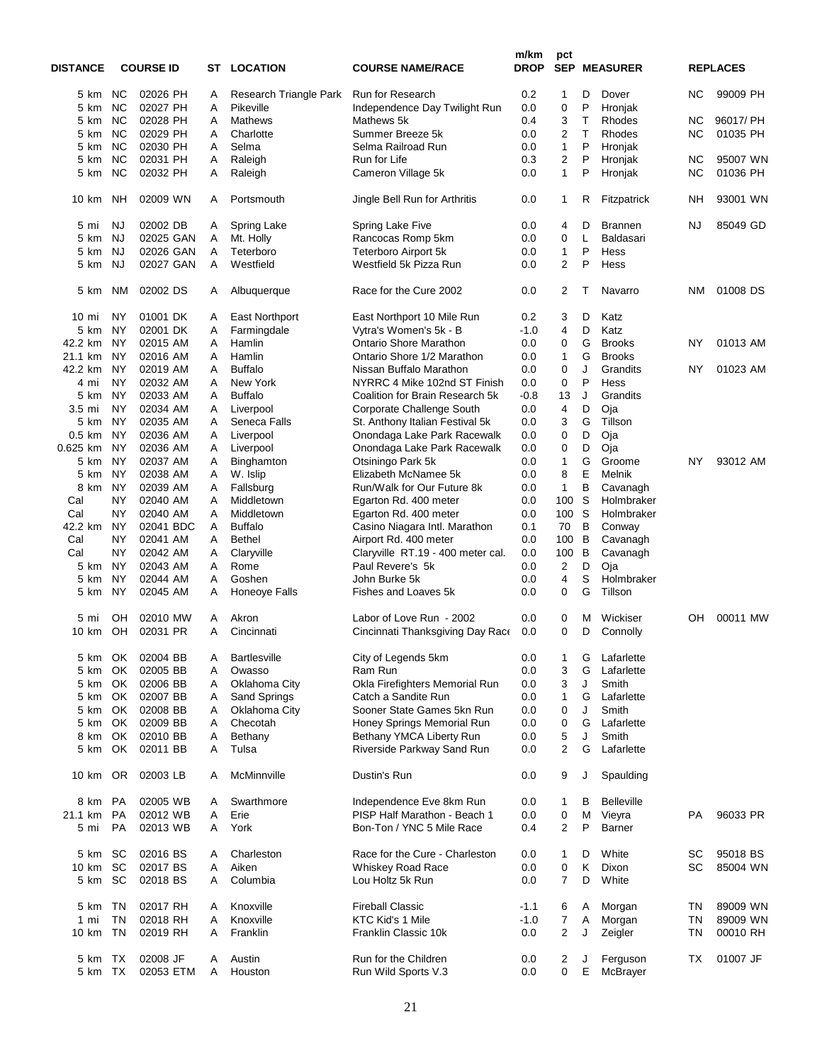| <b>DISTANCE</b>  |           | <b>COURSE ID</b> |   | <b>ST LOCATION</b>     | <b>COURSE NAME/RACE</b>           | m/km<br><b>DROP</b> | pct<br><b>SEP</b>       |   | <b>MEASURER</b>   |           | <b>REPLACES</b> |
|------------------|-----------|------------------|---|------------------------|-----------------------------------|---------------------|-------------------------|---|-------------------|-----------|-----------------|
|                  |           |                  |   |                        |                                   |                     |                         |   |                   |           |                 |
| 5 km             | <b>NC</b> | 02026 PH         | A | Research Triangle Park | Run for Research                  | 0.2                 | 1                       | D | Dover             | ΝC        | 99009 PH        |
| 5 km             | <b>NC</b> | 02027 PH         | A | Pikeville              | Independence Day Twilight Run     | 0.0                 | 0                       | P | Hronjak           |           |                 |
| 5 km             | <b>NC</b> | 02028 PH         | A | Mathews                | Mathews 5k                        | 0.4                 | 3                       | T | <b>Rhodes</b>     | ΝC        | 96017/ PH       |
| 5 km             | <b>NC</b> | 02029 PH         | A | Charlotte              | Summer Breeze 5k                  | 0.0                 | $\overline{2}$          | T | Rhodes            | ΝC        | 01035 PH        |
| 5 km             | <b>NC</b> | 02030 PH         | Α | Selma                  | Selma Railroad Run                | 0.0                 | $\mathbf{1}$            | P | Hronjak           |           |                 |
| 5 km             | <b>NC</b> | 02031 PH         | Α | Raleigh                | Run for Life                      | 0.3                 | $\overline{2}$          | P | Hronjak           | NC        | 95007 WN        |
| 5 km             | <b>NC</b> | 02032 PH         | Α | Raleigh                | Cameron Village 5k                | 0.0                 | $\mathbf{1}$            | P | Hronjak           | <b>NC</b> | 01036 PH        |
|                  |           |                  |   |                        |                                   |                     |                         |   |                   |           |                 |
| 10 km            | <b>NH</b> | 02009 WN         | A | Portsmouth             | Jingle Bell Run for Arthritis     | 0.0                 | 1                       | R | Fitzpatrick       | NΗ        | 93001 WN        |
| 5 mi             | <b>NJ</b> | 02002 DB         | Α | Spring Lake            | Spring Lake Five                  | 0.0                 | 4                       | D | <b>Brannen</b>    | NJ        | 85049 GD        |
| 5 km             | <b>NJ</b> | 02025 GAN        | A | Mt. Holly              | Rancocas Romp 5km                 | 0.0                 | 0                       | L | Baldasari         |           |                 |
| 5 km             | <b>NJ</b> | 02026 GAN        | Α | Teterboro              | Teterboro Airport 5k              | 0.0                 | 1                       | P | Hess              |           |                 |
| 5 km             | <b>NJ</b> | 02027 GAN        | A | Westfield              | Westfield 5k Pizza Run            | 0.0                 | $\overline{2}$          | P | Hess              |           |                 |
|                  |           |                  |   |                        |                                   |                     |                         |   |                   |           |                 |
| 5 km             | <b>NM</b> | 02002 DS         | A | Albuquerque            | Race for the Cure 2002            | 0.0                 | $\overline{2}$          | т | Navarro           | NΜ        | 01008 DS        |
| $10 \text{ mi}$  | <b>NY</b> | 01001 DK         | Α | <b>East Northport</b>  | East Northport 10 Mile Run        | 0.2                 | 3                       | D | Katz              |           |                 |
| 5 km             | <b>NY</b> | 02001 DK         | Α | Farmingdale            | Vytra's Women's 5k - B            | $-1.0$              | $\overline{4}$          | D | Katz              |           |                 |
| 42.2 km          | <b>NY</b> | 02015 AM         | Α | Hamlin                 | <b>Ontario Shore Marathon</b>     | 0.0                 | 0                       | G | <b>Brooks</b>     | ΝY        | 01013 AM        |
| 21.1 km          | <b>NY</b> | 02016 AM         | A | Hamlin                 | Ontario Shore 1/2 Marathon        | 0.0                 | 1                       | G | <b>Brooks</b>     |           |                 |
|                  |           |                  |   |                        |                                   |                     |                         |   |                   |           |                 |
| 42.2 km          | <b>NY</b> | 02019 AM         | A | <b>Buffalo</b>         | Nissan Buffalo Marathon           | 0.0                 | 0                       | J | Grandits          | NY        | 01023 AM        |
| 4 mi             | ΝY        | 02032 AM         | A | New York               | NYRRC 4 Mike 102nd ST Finish      | 0.0                 | 0                       | P | Hess              |           |                 |
| 5 km             | NY        | 02033 AM         | Α | <b>Buffalo</b>         | Coalition for Brain Research 5k   | $-0.8$              | 13                      | J | Grandits          |           |                 |
| 3.5 mi           | NY        | 02034 AM         | Α | Liverpool              | Corporate Challenge South         | 0.0                 | $\overline{\mathbf{4}}$ | D | Oja               |           |                 |
| 5 km             | NY        | 02035 AM         | Α | Seneca Falls           | St. Anthony Italian Festival 5k   | 0.0                 | 3                       | G | Tillson           |           |                 |
| $0.5 \text{ km}$ | NY        | 02036 AM         | Α | Liverpool              | Onondaga Lake Park Racewalk       | 0.0                 | $\mathbf 0$             | D | Oja               |           |                 |
| 0.625 km         | NY        | 02036 AM         | Α | Liverpool              | Onondaga Lake Park Racewalk       | 0.0                 | 0                       | D | Oja               |           |                 |
| 5 km             | <b>NY</b> | 02037 AM         | Α | Binghamton             | Otsiningo Park 5k                 | 0.0                 | 1                       | G | Groome            | ΝY        | 93012 AM        |
| 5 km             | <b>NY</b> | 02038 AM         | Α | W. Islip               | Elizabeth McNamee 5k              | 0.0                 | 8                       | Е | Melnik            |           |                 |
|                  |           |                  |   |                        |                                   |                     |                         |   |                   |           |                 |
| 8 km             | <b>NY</b> | 02039 AM         | Α | Fallsburg              | Run/Walk for Our Future 8k        | 0.0                 | $\mathbf{1}$            | B | Cavanagh          |           |                 |
| Cal              | NY        | 02040 AM         | A | Middletown             | Egarton Rd. 400 meter             | 0.0                 | 100                     | S | Holmbraker        |           |                 |
| Cal              | NY        | 02040 AM         | A | Middletown             | Egarton Rd. 400 meter             | 0.0                 | 100                     | S | Holmbraker        |           |                 |
| 42.2 km          | <b>NY</b> | 02041 BDC        | Α | <b>Buffalo</b>         | Casino Niagara Intl. Marathon     | 0.1                 | 70                      | B | Conway            |           |                 |
| Cal              | NY        | 02041 AM         | Α | <b>Bethel</b>          | Airport Rd. 400 meter             | 0.0                 | 100                     | B | Cavanagh          |           |                 |
| Cal              | <b>NY</b> | 02042 AM         | Α | Claryville             | Claryville RT.19 - 400 meter cal. | 0.0                 | 100                     | B | Cavanagh          |           |                 |
| 5 km             | <b>NY</b> | 02043 AM         | Α | Rome                   | Paul Revere's 5k                  | 0.0                 | $\overline{c}$          | D | Oja               |           |                 |
| 5 km             | NY        | 02044 AM         | A | Goshen                 | John Burke 5k                     | 0.0                 | $\overline{4}$          | S | Holmbraker        |           |                 |
| 5 km             | ΝY        | 02045 AM         | Α | Honeoye Falls          | Fishes and Loaves 5k              | 0.0                 | 0                       | G | Tillson           |           |                 |
|                  |           |                  |   |                        |                                   |                     |                         |   |                   |           |                 |
| 5 mi             | OН        | 02010 MW         | A | Akron                  | Labor of Love Run - 2002          | 0.0                 | 0                       | Μ | Wickiser          | OН        | 00011 MW        |
| 10 km            | OH        | 02031 PR         | A | Cincinnati             | Cincinnati Thanksgiving Day Race  | 0.0                 | $\mathbf 0$             | D | Connolly          |           |                 |
| 5 km             | OK        | 02004 BB         | Α | <b>Bartlesville</b>    | City of Legends 5km               | 0.0                 | 1                       | G | Lafarlette        |           |                 |
| 5 km             | OK        | 02005 BB         | Α | Owasso                 | Ram Run                           | 0.0                 |                         | G | Lafarlette        |           |                 |
|                  |           |                  |   |                        |                                   |                     | 3                       |   |                   |           |                 |
| 5 km             | OK        | 02006 BB         | Α | Oklahoma City          | Okla Firefighters Memorial Run    | 0.0                 | 3                       | J | Smith             |           |                 |
| 5 km             | OK.       | 02007 BB         | Α | Sand Springs           | Catch a Sandite Run               | 0.0                 | 1                       | G | Lafarlette        |           |                 |
| 5 km             | OK.       | 02008 BB         | Α | Oklahoma City          | Sooner State Games 5kn Run        | 0.0                 | 0                       | J | Smith             |           |                 |
| 5 km             | OK.       | 02009 BB         | Α | Checotah               | Honey Springs Memorial Run        | 0.0                 | 0                       | G | Lafarlette        |           |                 |
| 8 km             | OK        | 02010 BB         | Α | Bethany                | Bethany YMCA Liberty Run          | 0.0                 | 5                       | J | Smith             |           |                 |
| 5 km             | OK        | 02011 BB         | Α | Tulsa                  | Riverside Parkway Sand Run        | 0.0                 | $\boldsymbol{2}$        | G | Lafarlette        |           |                 |
| 10 km            | OR.       | 02003 LB         | A | McMinnville            | Dustin's Run                      | 0.0                 | 9                       | J | Spaulding         |           |                 |
| 8 km             | PA        | 02005 WB         | A | Swarthmore             | Independence Eve 8km Run          | 0.0                 | 1                       | в | <b>Belleville</b> |           |                 |
| 21.1 km          | PA        | 02012 WB         | Α | Erie                   | PISP Half Marathon - Beach 1      | 0.0                 | 0                       | M | Vieyra            | PA        | 96033 PR        |
|                  |           |                  |   |                        |                                   |                     |                         |   |                   |           |                 |
| 5 mi             | PA        | 02013 WB         | Α | York                   | Bon-Ton / YNC 5 Mile Race         | 0.4                 | $\overline{2}$          | P | <b>Barner</b>     |           |                 |
| 5 km             | <b>SC</b> | 02016 BS         | A | Charleston             | Race for the Cure - Charleston    | 0.0                 | 1                       | D | White             | SC        | 95018 BS        |
| 10 km            | <b>SC</b> | 02017 BS         | Α | Aiken                  | <b>Whiskey Road Race</b>          | 0.0                 | $\pmb{0}$               | Κ | Dixon             | SC        | 85004 WN        |
| 5 km             | SC        | 02018 BS         | Α | Columbia               | Lou Holtz 5k Run                  | 0.0                 | 7                       | D | White             |           |                 |
|                  | TN        | 02017 RH         |   | Knoxville              | <b>Fireball Classic</b>           | $-1.1$              |                         |   |                   | ΤN        | 89009 WN        |
| 5 km             |           |                  | A |                        |                                   |                     | 6                       | Α | Morgan            |           |                 |
| 1 mi             | <b>TN</b> | 02018 RH         | Α | Knoxville              | KTC Kid's 1 Mile                  | $-1.0$              | $\overline{7}$          | Α | Morgan            | <b>TN</b> | 89009 WN        |
| 10 km            | TN        | 02019 RH         | A | Franklin               | Franklin Classic 10k              | 0.0                 | $\overline{2}$          | J | Zeigler           | ΤN        | 00010 RH        |
| 5 km             | TX        | 02008 JF         | A | Austin                 | Run for the Children              | 0.0                 | 2                       | J | Ferguson          | ТX        | 01007 JF        |
| 5 km             | TX        | 02053 ETM        | Α | Houston                | Run Wild Sports V.3               | 0.0                 | $\mathbf 0$             | Ε | McBrayer          |           |                 |
|                  |           |                  |   |                        |                                   |                     |                         |   |                   |           |                 |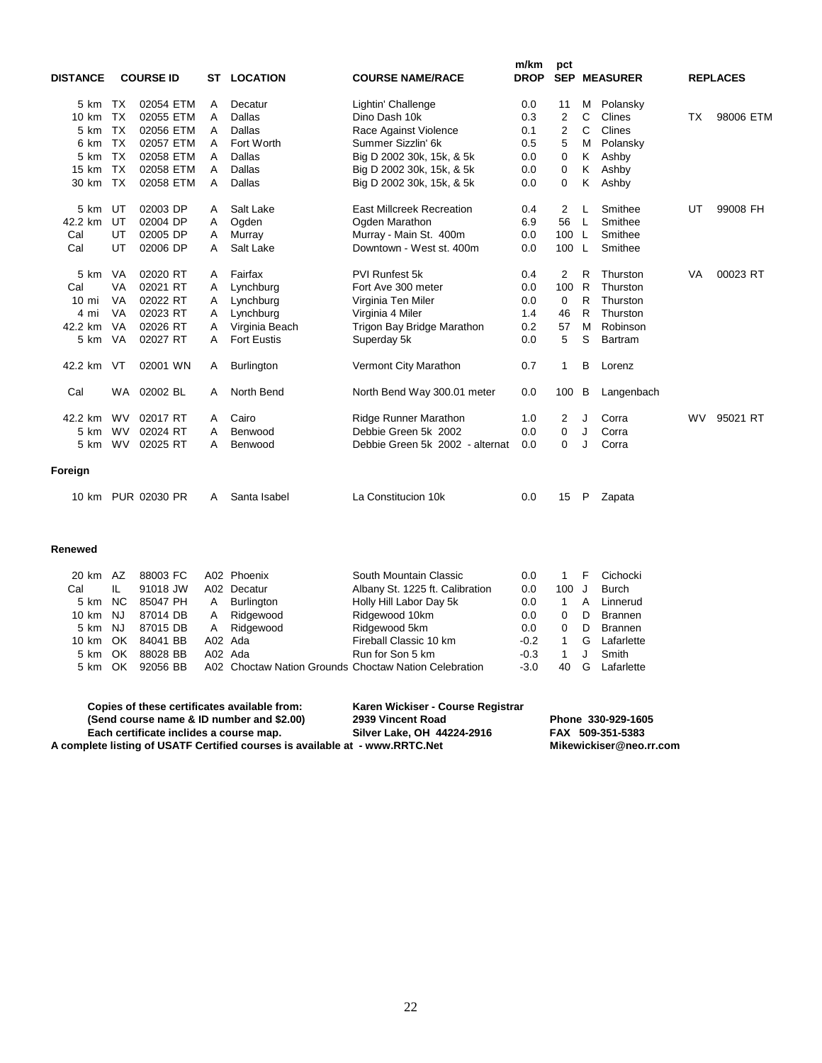| <b>DISTANCE</b> |           | <b>COURSE ID</b> | ST | <b>LOCATION</b>    | <b>COURSE NAME/RACE</b>          | m/km<br><b>DROP</b> | pct<br><b>SEP</b> |    | <b>MEASURER</b> |           | <b>REPLACES</b> |
|-----------------|-----------|------------------|----|--------------------|----------------------------------|---------------------|-------------------|----|-----------------|-----------|-----------------|
| $5 \text{ km}$  | TX        | 02054 ETM        | A  | Decatur            | Lightin' Challenge               | 0.0                 | 11                | м  | Polansky        |           |                 |
| 10 km           | <b>TX</b> | 02055 ETM        | A  | Dallas             | Dino Dash 10k                    | 0.3                 | $\overline{2}$    | C  | Clines          | TX        | 98006 ETM       |
| 5 km            | <b>TX</b> | 02056 ETM        | A  | Dallas             | Race Against Violence            | 0.1                 | $\overline{2}$    | C  | Clines          |           |                 |
| 6 km            | <b>TX</b> | 02057 ETM        | A  | Fort Worth         | Summer Sizzlin' 6k               | 0.5                 | 5                 | M  | Polansky        |           |                 |
| 5 km            | <b>TX</b> | 02058 ETM        | A  | Dallas             | Big D 2002 30k, 15k, & 5k        | 0.0                 | 0                 | Κ  | Ashby           |           |                 |
| 15 km           | <b>TX</b> | 02058 ETM        | A  | Dallas             | Big D 2002 30k, 15k, & 5k        | 0.0                 | 0                 | Κ  | Ashby           |           |                 |
| 30 km           | TX        | 02058 ETM        | A  | Dallas             | Big D 2002 30k, 15k, & 5k        | 0.0                 | 0                 | Κ  | Ashby           |           |                 |
| 5 km            | UT        | 02003 DP         | A  | Salt Lake          | <b>East Millcreek Recreation</b> | 0.4                 | 2                 | L  | Smithee         | UT        | 99008 FH        |
| 42.2 km         | UT        | 02004 DP         | A  | Ogden              | Ogden Marathon                   | 6.9                 | 56                | -L | Smithee         |           |                 |
| Cal             | UT        | 02005 DP         | A  | Murrav             | Murray - Main St. 400m           | 0.0                 | 100               | L  | Smithee         |           |                 |
| Cal             | UT        | 02006 DP         | A  | Salt Lake          | Downtown - West st. 400m         | 0.0                 | 100               | L  | Smithee         |           |                 |
| 5 km            | VA        | 02020 RT         | A  | Fairfax            | <b>PVI Runfest 5k</b>            | 0.4                 | $\overline{2}$    | R  | Thurston        | VA        | 00023 RT        |
| Cal             | VA        | 02021 RT         | A  | Lynchburg          | Fort Ave 300 meter               | 0.0                 | 100               | R  | Thurston        |           |                 |
| $10 \text{ mi}$ | VA        | 02022 RT         | Α  | Lynchburg          | Virginia Ten Miler               | 0.0                 | $\Omega$          | R  | Thurston        |           |                 |
| 4 mi            | VA        | 02023 RT         | Α  | Lynchburg          | Virginia 4 Miler                 | 1.4                 | 46                | R  | Thurston        |           |                 |
| 42.2 km         | VA        | 02026 RT         | A  | Virginia Beach     | Trigon Bay Bridge Marathon       | 0.2                 | 57                | M  | Robinson        |           |                 |
| 5 km            | VA        | 02027 RT         | A  | <b>Fort Eustis</b> | Superday 5k                      | 0.0                 | 5                 | S  | Bartram         |           |                 |
| 42.2 km         | VT        | 02001 WN         | A  | <b>Burlington</b>  | Vermont City Marathon            | 0.7                 | $\mathbf{1}$      | B  | Lorenz          |           |                 |
| Cal             |           | WA 02002 BL      | A  | North Bend         | North Bend Way 300.01 meter      | 0.0                 | 100               | В  | Langenbach      |           |                 |
| 42.2 km         | <b>WV</b> | 02017 RT         | A  | Cairo              | <b>Ridge Runner Marathon</b>     | 1.0                 | 2                 | J  | Corra           | <b>WV</b> | 95021 RT        |
| 5 km            | <b>WV</b> | 02024 RT         | A  | Benwood            | Debbie Green 5k 2002             | 0.0                 | 0                 | J  | Corra           |           |                 |
| 5 km            | <b>WV</b> | 02025 RT         | A  | Benwood            | Debbie Green 5k 2002 - alternat  | 0.0                 | $\Omega$          | J  | Corra           |           |                 |
| Foreign         |           |                  |    |                    |                                  |                     |                   |    |                 |           |                 |
| 10 km           |           | PUR 02030 PR     | A  | Santa Isabel       | La Constitucion 10k              | 0.0                 | 15                | P  | Zapata          |           |                 |

**Renewed**

| 20 km    | AZ   | 88003 FC |         | A02 Phoenix  | South Mountain Classic                                | 0.0    |          | F  | Cichocki       |
|----------|------|----------|---------|--------------|-------------------------------------------------------|--------|----------|----|----------------|
| Cal      | IL   | 91018 JW |         | A02 Decatur  | Albany St. 1225 ft. Calibration                       | 0.0    | 100      |    | Burch          |
| 5 km     | NC.  | 85047 PH |         | A Burlington | Holly Hill Labor Day 5k                               | 0.0    |          | A  | Linnerud       |
| 10 km    | NJ.  | 87014 DB |         | A Ridgewood  | Ridgewood 10km                                        | 0.0    | 0        | D  | <b>Brannen</b> |
| 5 km NJ  |      | 87015 DB |         | A Ridgewood  | Ridgewood 5km                                         | 0.0    | $\Omega$ | D. | <b>Brannen</b> |
| 10 km OK |      | 84041 BB | A02 Ada |              | Fireball Classic 10 km                                | $-0.2$ |          |    | G Lafarlette   |
| 5 km     | - OK | 88028 BB | A02 Ada |              | Run for Son 5 km                                      | $-0.3$ |          |    | Smith          |
| 5 km OK  |      | 92056 BB |         |              | A02 Choctaw Nation Grounds Choctaw Nation Celebration | $-3.0$ | 40       | G  | Lafarlette     |
|          |      |          |         |              |                                                       |        |          |    |                |

| Copies of these certificates available from:                                 | Karen Wickiser - Course Registrar |                         |
|------------------------------------------------------------------------------|-----------------------------------|-------------------------|
| (Send course name & ID number and \$2.00)                                    | 2939 Vincent Road                 | Phone 330-929-1605      |
| Each certificate inclides a course map.                                      | Silver Lake, OH 44224-2916        | FAX 509-351-5383        |
| A complete listing of USATF Certified courses is available at - www.RRTC.Net |                                   | Mikewickiser@neo.rr.com |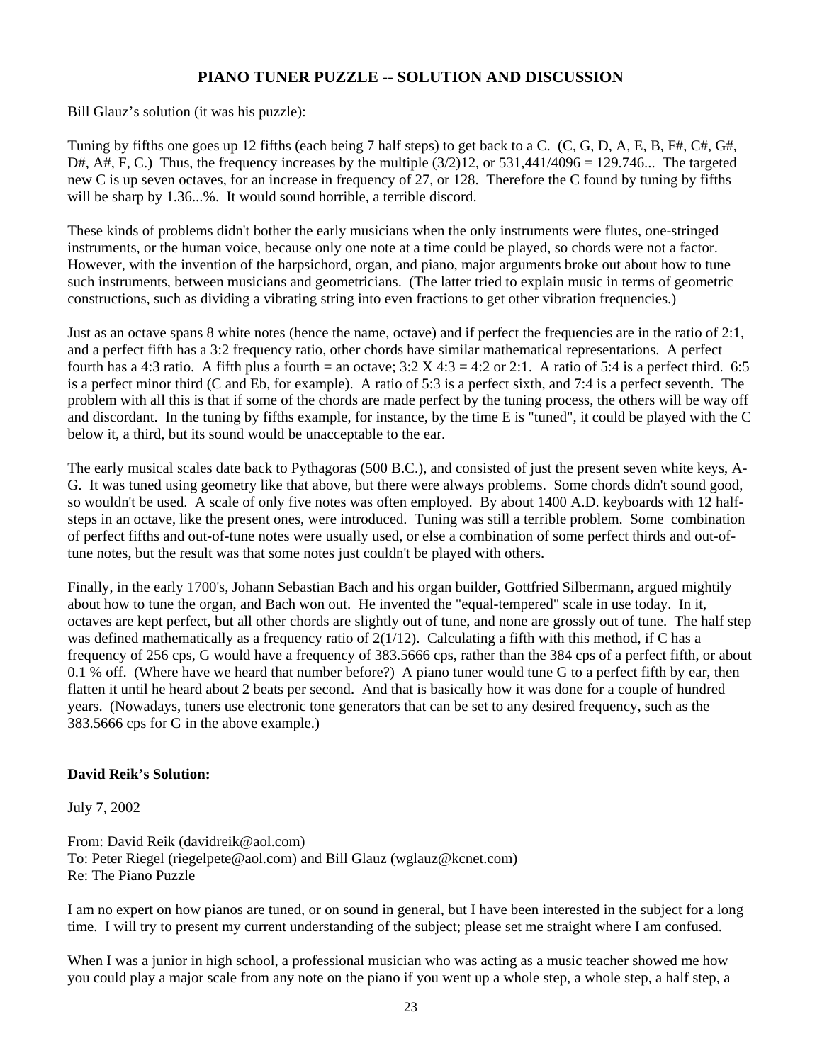## **PIANO TUNER PUZZLE -- SOLUTION AND DISCUSSION**

Bill Glauz's solution (it was his puzzle):

Tuning by fifths one goes up 12 fifths (each being 7 half steps) to get back to a C. (C, G, D, A, E, B, F#, C#, G#, D#, A#, F, C.) Thus, the frequency increases by the multiple  $(3/2)12$ , or  $531,441/4096 = 129.746...$  The targeted new C is up seven octaves, for an increase in frequency of 27, or 128. Therefore the C found by tuning by fifths will be sharp by 1.36...%. It would sound horrible, a terrible discord.

These kinds of problems didn't bother the early musicians when the only instruments were flutes, one-stringed instruments, or the human voice, because only one note at a time could be played, so chords were not a factor. However, with the invention of the harpsichord, organ, and piano, major arguments broke out about how to tune such instruments, between musicians and geometricians. (The latter tried to explain music in terms of geometric constructions, such as dividing a vibrating string into even fractions to get other vibration frequencies.)

Just as an octave spans 8 white notes (hence the name, octave) and if perfect the frequencies are in the ratio of 2:1, and a perfect fifth has a 3:2 frequency ratio, other chords have similar mathematical representations. A perfect fourth has a 4:3 ratio. A fifth plus a fourth = an octave;  $3:2 \text{ X } 4:3 = 4:2$  or 2:1. A ratio of 5:4 is a perfect third. 6:5 is a perfect minor third (C and Eb, for example). A ratio of 5:3 is a perfect sixth, and 7:4 is a perfect seventh. The problem with all this is that if some of the chords are made perfect by the tuning process, the others will be way off and discordant. In the tuning by fifths example, for instance, by the time E is "tuned", it could be played with the C below it, a third, but its sound would be unacceptable to the ear.

The early musical scales date back to Pythagoras (500 B.C.), and consisted of just the present seven white keys, A-G. It was tuned using geometry like that above, but there were always problems. Some chords didn't sound good, so wouldn't be used. A scale of only five notes was often employed. By about 1400 A.D. keyboards with 12 halfsteps in an octave, like the present ones, were introduced. Tuning was still a terrible problem. Some combination of perfect fifths and out-of-tune notes were usually used, or else a combination of some perfect thirds and out-oftune notes, but the result was that some notes just couldn't be played with others.

Finally, in the early 1700's, Johann Sebastian Bach and his organ builder, Gottfried Silbermann, argued mightily about how to tune the organ, and Bach won out. He invented the "equal-tempered" scale in use today. In it, octaves are kept perfect, but all other chords are slightly out of tune, and none are grossly out of tune. The half step was defined mathematically as a frequency ratio of  $2(1/12)$ . Calculating a fifth with this method, if C has a frequency of 256 cps, G would have a frequency of 383.5666 cps, rather than the 384 cps of a perfect fifth, or about 0.1 % off. (Where have we heard that number before?) A piano tuner would tune G to a perfect fifth by ear, then flatten it until he heard about 2 beats per second. And that is basically how it was done for a couple of hundred years. (Nowadays, tuners use electronic tone generators that can be set to any desired frequency, such as the 383.5666 cps for G in the above example.)

#### **David Reik's Solution:**

July 7, 2002

From: David Reik (davidreik@aol.com) To: Peter Riegel (riegelpete@aol.com) and Bill Glauz (wglauz@kcnet.com) Re: The Piano Puzzle

I am no expert on how pianos are tuned, or on sound in general, but I have been interested in the subject for a long time. I will try to present my current understanding of the subject; please set me straight where I am confused.

When I was a junior in high school, a professional musician who was acting as a music teacher showed me how you could play a major scale from any note on the piano if you went up a whole step, a whole step, a half step, a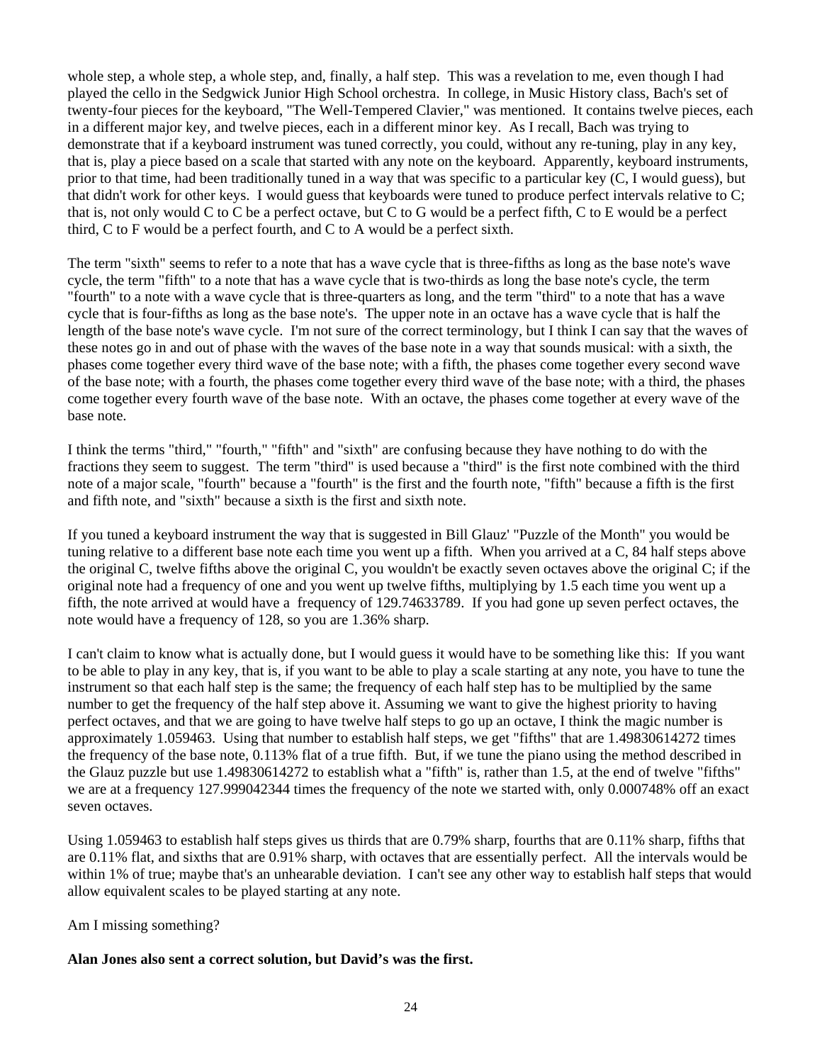whole step, a whole step, a whole step, and, finally, a half step. This was a revelation to me, even though I had played the cello in the Sedgwick Junior High School orchestra. In college, in Music History class, Bach's set of twenty-four pieces for the keyboard, "The Well-Tempered Clavier," was mentioned. It contains twelve pieces, each in a different major key, and twelve pieces, each in a different minor key. As I recall, Bach was trying to demonstrate that if a keyboard instrument was tuned correctly, you could, without any re-tuning, play in any key, that is, play a piece based on a scale that started with any note on the keyboard. Apparently, keyboard instruments, prior to that time, had been traditionally tuned in a way that was specific to a particular key (C, I would guess), but that didn't work for other keys. I would guess that keyboards were tuned to produce perfect intervals relative to C; that is, not only would C to C be a perfect octave, but C to G would be a perfect fifth, C to E would be a perfect third, C to F would be a perfect fourth, and C to A would be a perfect sixth.

The term "sixth" seems to refer to a note that has a wave cycle that is three-fifths as long as the base note's wave cycle, the term "fifth" to a note that has a wave cycle that is two-thirds as long the base note's cycle, the term "fourth" to a note with a wave cycle that is three-quarters as long, and the term "third" to a note that has a wave cycle that is four-fifths as long as the base note's. The upper note in an octave has a wave cycle that is half the length of the base note's wave cycle. I'm not sure of the correct terminology, but I think I can say that the waves of these notes go in and out of phase with the waves of the base note in a way that sounds musical: with a sixth, the phases come together every third wave of the base note; with a fifth, the phases come together every second wave of the base note; with a fourth, the phases come together every third wave of the base note; with a third, the phases come together every fourth wave of the base note. With an octave, the phases come together at every wave of the base note.

I think the terms "third," "fourth," "fifth" and "sixth" are confusing because they have nothing to do with the fractions they seem to suggest. The term "third" is used because a "third" is the first note combined with the third note of a major scale, "fourth" because a "fourth" is the first and the fourth note, "fifth" because a fifth is the first and fifth note, and "sixth" because a sixth is the first and sixth note.

If you tuned a keyboard instrument the way that is suggested in Bill Glauz' "Puzzle of the Month" you would be tuning relative to a different base note each time you went up a fifth. When you arrived at a C, 84 half steps above the original C, twelve fifths above the original C, you wouldn't be exactly seven octaves above the original C; if the original note had a frequency of one and you went up twelve fifths, multiplying by 1.5 each time you went up a fifth, the note arrived at would have a frequency of 129.74633789. If you had gone up seven perfect octaves, the note would have a frequency of 128, so you are 1.36% sharp.

I can't claim to know what is actually done, but I would guess it would have to be something like this: If you want to be able to play in any key, that is, if you want to be able to play a scale starting at any note, you have to tune the instrument so that each half step is the same; the frequency of each half step has to be multiplied by the same number to get the frequency of the half step above it. Assuming we want to give the highest priority to having perfect octaves, and that we are going to have twelve half steps to go up an octave, I think the magic number is approximately 1.059463. Using that number to establish half steps, we get "fifths" that are 1.49830614272 times the frequency of the base note, 0.113% flat of a true fifth. But, if we tune the piano using the method described in the Glauz puzzle but use 1.49830614272 to establish what a "fifth" is, rather than 1.5, at the end of twelve "fifths" we are at a frequency 127.999042344 times the frequency of the note we started with, only 0.000748% off an exact seven octaves.

Using 1.059463 to establish half steps gives us thirds that are 0.79% sharp, fourths that are 0.11% sharp, fifths that are 0.11% flat, and sixths that are 0.91% sharp, with octaves that are essentially perfect. All the intervals would be within 1% of true; maybe that's an unhearable deviation. I can't see any other way to establish half steps that would allow equivalent scales to be played starting at any note.

Am I missing something?

#### **Alan Jones also sent a correct solution, but David's was the first.**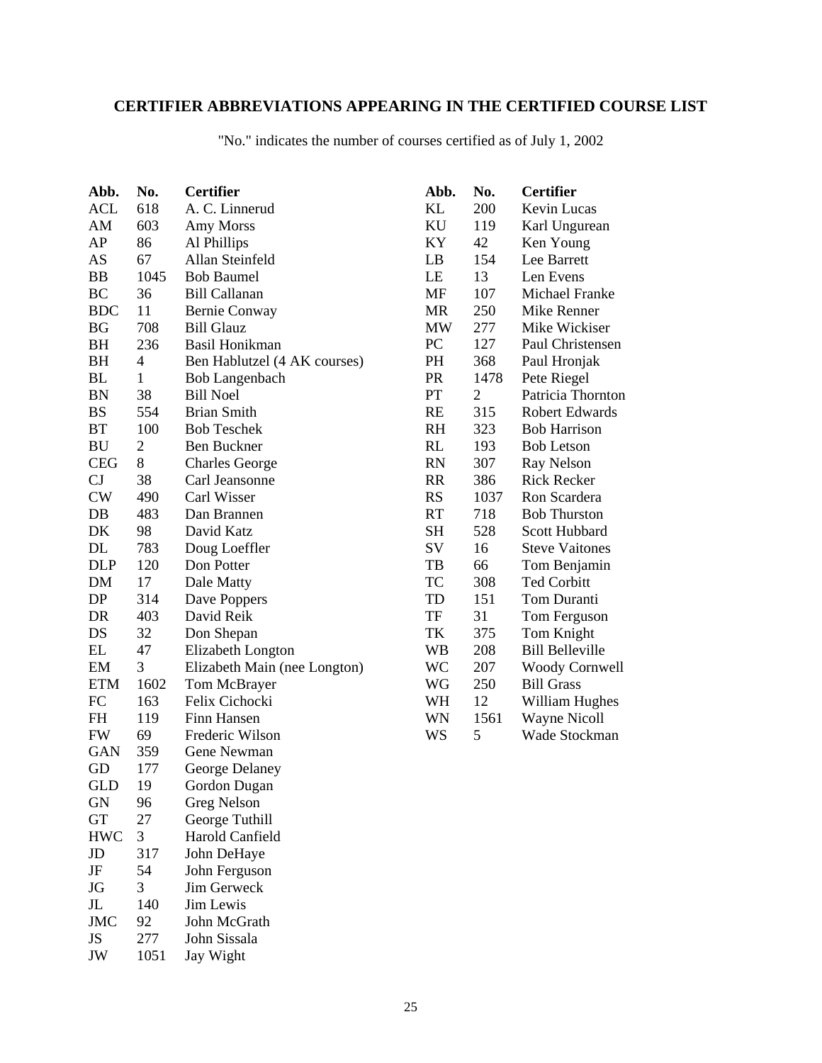# **CERTIFIER ABBREVIATIONS APPEARING IN THE CERTIFIED COURSE LIST**

|  |  |  |  | "No." indicates the number of courses certified as of July 1, 2002 |  |  |
|--|--|--|--|--------------------------------------------------------------------|--|--|
|--|--|--|--|--------------------------------------------------------------------|--|--|

| Abb.       | No.            | <b>Certifier</b>             | Abb.      | No.            | <b>Certifier</b>       |
|------------|----------------|------------------------------|-----------|----------------|------------------------|
| ACL        | 618            | A. C. Linnerud               | KL        | 200            | Kevin Lucas            |
| AM         | 603            | Amy Morss                    | KU        | 119            | Karl Ungurean          |
| AP         | 86             | Al Phillips                  | KY        | 42             | Ken Young              |
| AS         | 67             | Allan Steinfeld              | LB        | 154            | Lee Barrett            |
| <b>BB</b>  | 1045           | <b>Bob Baumel</b>            | LE        | 13             | Len Evens              |
| BC         | 36             | <b>Bill Callanan</b>         | MF        | 107            | Michael Franke         |
| <b>BDC</b> | 11             | <b>Bernie Conway</b>         | <b>MR</b> | 250            | Mike Renner            |
| <b>BG</b>  | 708            | <b>Bill Glauz</b>            | <b>MW</b> | 277            | Mike Wickiser          |
| BH         | 236            | Basil Honikman               | PC        | 127            | Paul Christensen       |
| BH         | 4              | Ben Hablutzel (4 AK courses) | PH        | 368            | Paul Hronjak           |
| BL         | $\mathbf{1}$   | Bob Langenbach               | <b>PR</b> | 1478           | Pete Riegel            |
| <b>BN</b>  | 38             | <b>Bill Noel</b>             | PT        | $\mathfrak{2}$ | Patricia Thornton      |
| <b>BS</b>  | 554            | <b>Brian Smith</b>           | RE        | 315            | <b>Robert Edwards</b>  |
| <b>BT</b>  | 100            | <b>Bob Teschek</b>           | <b>RH</b> | 323            | <b>Bob Harrison</b>    |
| BU         | $\overline{c}$ | <b>Ben Buckner</b>           | RL        | 193            | <b>Bob Letson</b>      |
| <b>CEG</b> | 8              | <b>Charles George</b>        | <b>RN</b> | 307            | Ray Nelson             |
| CJ         | 38             | Carl Jeansonne               | <b>RR</b> | 386            | <b>Rick Recker</b>     |
| CW         | 490            | Carl Wisser                  | <b>RS</b> | 1037           | Ron Scardera           |
| DB         | 483            | Dan Brannen                  | RT        | 718            | <b>Bob Thurston</b>    |
| DK         | 98             | David Katz                   | <b>SH</b> | 528            | Scott Hubbard          |
| DL         | 783            | Doug Loeffler                | SV        | 16             | <b>Steve Vaitones</b>  |
| <b>DLP</b> | 120            | Don Potter                   | TB        | 66             | Tom Benjamin           |
| DM         | 17             | Dale Matty                   | TC        | 308            | <b>Ted Corbitt</b>     |
| DP         | 314            | Dave Poppers                 | TD        | 151            | Tom Duranti            |
| DR         | 403            | David Reik                   | TF        | 31             | Tom Ferguson           |
| DS         | 32             | Don Shepan                   | TK        | 375            | Tom Knight             |
| EL         | 47             | Elizabeth Longton            | WB        | 208            | <b>Bill Belleville</b> |
| EM         | 3              | Elizabeth Main (nee Longton) | WC        | 207            | <b>Woody Cornwell</b>  |
| <b>ETM</b> | 1602           | Tom McBrayer                 | WG        | 250            | <b>Bill Grass</b>      |
| FC         | 163            | Felix Cichocki               | WH        | 12             | William Hughes         |
| <b>FH</b>  | 119            | Finn Hansen                  | WN        | 1561           | <b>Wayne Nicoll</b>    |
| <b>FW</b>  | 69             | Frederic Wilson              | WS        | 5              | Wade Stockman          |
| <b>GAN</b> | 359            | Gene Newman                  |           |                |                        |
| GD         | 177            | George Delaney               |           |                |                        |
| GLD        | 19             | Gordon Dugan                 |           |                |                        |
| <b>GN</b>  | 96             | Greg Nelson                  |           |                |                        |
| <b>GT</b>  | 27             | George Tuthill               |           |                |                        |
| <b>HWC</b> | 3              | Harold Canfield              |           |                |                        |
| JD         | 317            | John DeHaye                  |           |                |                        |
| JF         | 54             | John Ferguson                |           |                |                        |
| JG         | 3              | Jim Gerweck                  |           |                |                        |
| $\rm JL$   | 140            | Jim Lewis                    |           |                |                        |
| <b>JMC</b> | 92             | John McGrath                 |           |                |                        |
| JS         | 277            | John Sissala                 |           |                |                        |

JW 1051 Jay Wight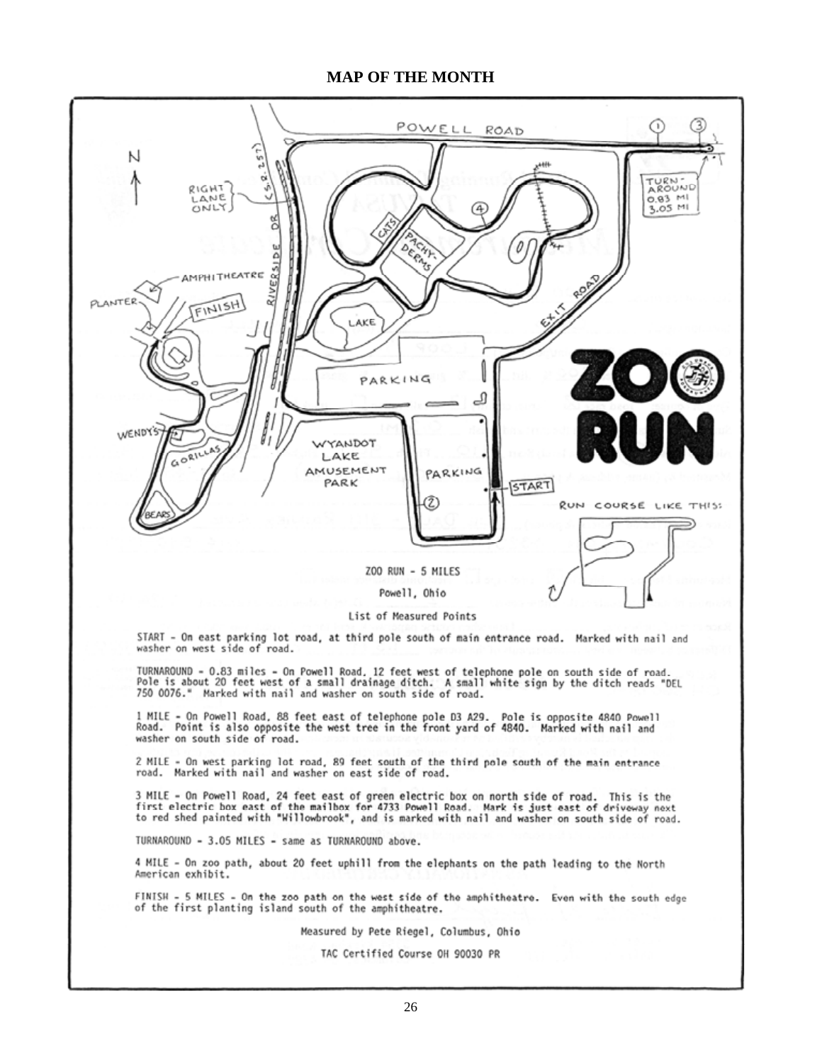#### **MAP OF THE MONTH**



#### List of Measured Points

START - On east parking lot road, at third pole south of main entrance road. Marked with nail and washer on west side of road.

TURNAROUND - 0.83 miles - On Powell Road, 12 feet west of telephone pole on south side of road.<br>Pole is about 20 feet west of a small drainage ditch. A small white sign by the ditch reads "DEL 750 0076." Marked with nail and washer on south side of road.

1 MILE - On Powell Road, 88 feet east of telephone pole D3 A29. Pole is opposite 4840 Powell<br>Road. Point is also opposite the west tree in the front yard of 4840. Marked with nail and washer on south side of road.

2 MILE - On west parking lot road, 89 feet south of the third pole south of the main entrance road. Marked with nail and washer on east side of road.

3 MILE - On Powell Road, 24 feet east of green electric box on north side of road. This is the first electric box east of the mailbox for 4733 Powell Road. Mark is just east of driveway next<br>to red shed painted with "Willowbrook", and is marked with nail and washer on south side of road.

TURNAROUND - 3.05 MILES - same as TURNAROUND above.

4 MILE - On zoo path, about 20 feet uphill from the elephants on the path leading to the North American exhibit.

FINISH - 5 MILES - On the zoo path on the west side of the amphitheatre. Even with the south edge of the first planting island south of the amphitheatre.

#### Measured by Pete Riegel, Columbus, Ohio

TAC Certified Course OH 90030 PR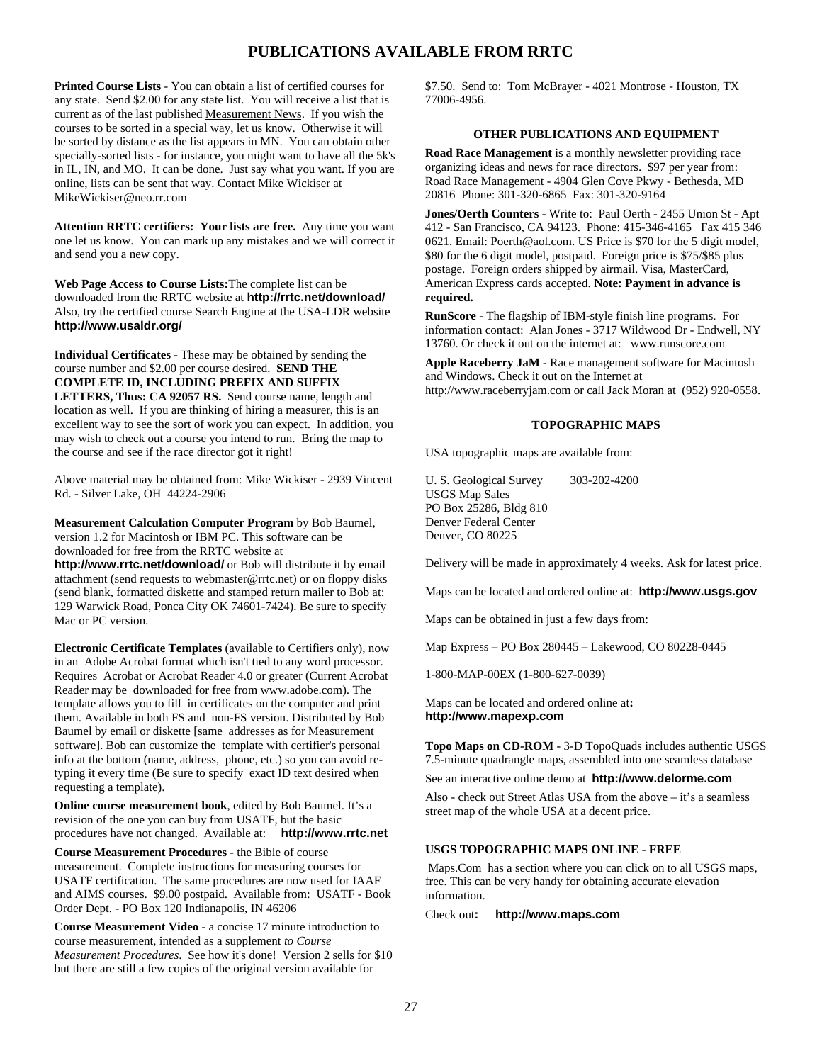#### **PUBLICATIONS AVAILABLE FROM RRTC**

**Printed Course Lists** - You can obtain a list of certified courses for any state. Send \$2.00 for any state list. You will receive a list that is current as of the last published Measurement News. If you wish the courses to be sorted in a special way, let us know. Otherwise it will be sorted by distance as the list appears in MN. You can obtain other specially-sorted lists - for instance, you might want to have all the 5k's in IL, IN, and MO. It can be done. Just say what you want. If you are online, lists can be sent that way. Contact Mike Wickiser at MikeWickiser@neo.rr.com

**Attention RRTC certifiers: Your lists are free.** Any time you want one let us know. You can mark up any mistakes and we will correct it and send you a new copy.

**Web Page Access to Course Lists:**The complete list can be downloaded from the RRTC website at **http://rrtc.net/download/** Also, try the certified course Search Engine at the USA-LDR website **http://www.usaldr.org/**

**Individual Certificates** - These may be obtained by sending the course number and \$2.00 per course desired. **SEND THE COMPLETE ID, INCLUDING PREFIX AND SUFFIX LETTERS, Thus: CA 92057 RS.** Send course name, length and location as well. If you are thinking of hiring a measurer, this is an excellent way to see the sort of work you can expect. In addition, you may wish to check out a course you intend to run. Bring the map to the course and see if the race director got it right!

Above material may be obtained from: Mike Wickiser - 2939 Vincent Rd. - Silver Lake, OH 44224-2906

**Measurement Calculation Computer Program** by Bob Baumel, version 1.2 for Macintosh or IBM PC. This software can be downloaded for free from the RRTC website at

**http://www.rrtc.net/download/** or Bob will distribute it by email attachment (send requests to webmaster@rrtc.net) or on floppy disks (send blank, formatted diskette and stamped return mailer to Bob at: 129 Warwick Road, Ponca City OK 74601-7424). Be sure to specify Mac or PC version.

**Electronic Certificate Templates** (available to Certifiers only), now in an Adobe Acrobat format which isn't tied to any word processor. Requires Acrobat or Acrobat Reader 4.0 or greater (Current Acrobat Reader may be downloaded for free from www.adobe.com). The template allows you to fill in certificates on the computer and print them. Available in both FS and non-FS version. Distributed by Bob Baumel by email or diskette [same addresses as for Measurement software]. Bob can customize the template with certifier's personal info at the bottom (name, address, phone, etc.) so you can avoid retyping it every time (Be sure to specify exact ID text desired when requesting a template).

**Online course measurement book**, edited by Bob Baumel. It's a revision of the one you can buy from USATF, but the basic procedures have not changed. Available at: **http://www.rrtc.net**

**Course Measurement Procedures** - the Bible of course measurement. Complete instructions for measuring courses for USATF certification. The same procedures are now used for IAAF and AIMS courses. \$9.00 postpaid. Available from: USATF - Book Order Dept. - PO Box 120 Indianapolis, IN 46206

**Course Measurement Video** - a concise 17 minute introduction to course measurement, intended as a supplement *to Course Measurement Procedures*. See how it's done! Version 2 sells for \$10 but there are still a few copies of the original version available for

\$7.50. Send to: Tom McBrayer - 4021 Montrose - Houston, TX 77006-4956.

#### **OTHER PUBLICATIONS AND EQUIPMENT**

**Road Race Management** is a monthly newsletter providing race organizing ideas and news for race directors. \$97 per year from: Road Race Management - 4904 Glen Cove Pkwy - Bethesda, MD 20816 Phone: 301-320-6865 Fax: 301-320-9164

**Jones/Oerth Counters** - Write to: Paul Oerth - 2455 Union St - Apt 412 - San Francisco, CA 94123. Phone: 415-346-4165 Fax 415 346 0621. Email: Poerth@aol.com. US Price is \$70 for the 5 digit model, \$80 for the 6 digit model, postpaid. Foreign price is \$75/\$85 plus postage. Foreign orders shipped by airmail. Visa, MasterCard, American Express cards accepted. **Note: Payment in advance is required.**

**RunScore** - The flagship of IBM-style finish line programs. For information contact: Alan Jones - 3717 Wildwood Dr - Endwell, NY 13760. Or check it out on the internet at: www.runscore.com

**Apple Raceberry JaM** - Race management software for Macintosh and Windows. Check it out on the Internet at http://www.raceberryjam.com or call Jack Moran at (952) 920-0558.

#### **TOPOGRAPHIC MAPS**

USA topographic maps are available from:

U. S. Geological Survey 303-202-4200 USGS Map Sales PO Box 25286, Bldg 810 Denver Federal Center Denver, CO 80225

Delivery will be made in approximately 4 weeks. Ask for latest price.

Maps can be located and ordered online at: **http://www.usgs.gov**

Maps can be obtained in just a few days from:

Map Express – PO Box 280445 – Lakewood, CO 80228-0445

1-800-MAP-00EX (1-800-627-0039)

Maps can be located and ordered online at**: http://www.mapexp.com**

**Topo Maps on CD-ROM** - 3-D TopoQuads includes authentic USGS 7.5-minute quadrangle maps, assembled into one seamless database

See an interactive online demo at **http://www.delorme.com**

Also - check out Street Atlas USA from the above – it's a seamless street map of the whole USA at a decent price.

#### **USGS TOPOGRAPHIC MAPS ONLINE - FREE**

 Maps.Com has a section where you can click on to all USGS maps, free. This can be very handy for obtaining accurate elevation information.

Check out**: http://www.maps.com**